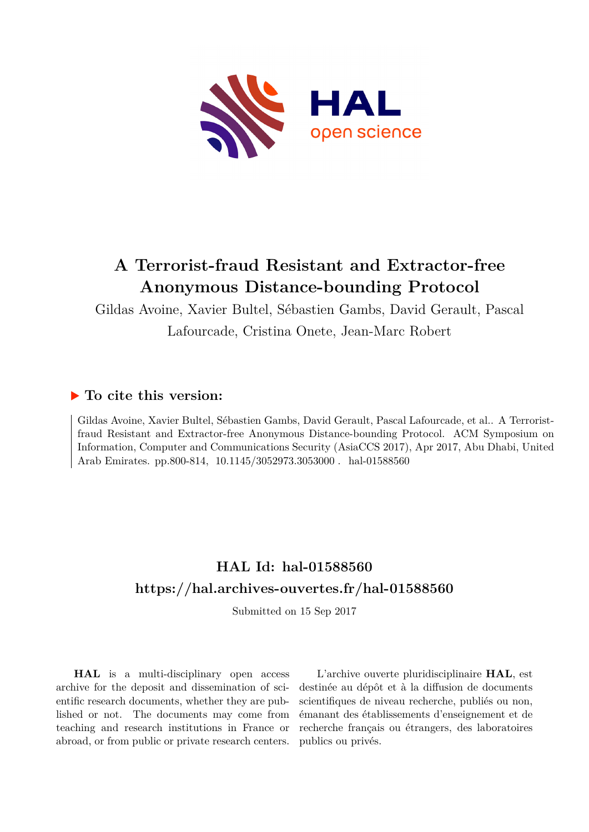

# **A Terrorist-fraud Resistant and Extractor-free Anonymous Distance-bounding Protocol**

Gildas Avoine, Xavier Bultel, Sébastien Gambs, David Gerault, Pascal Lafourcade, Cristina Onete, Jean-Marc Robert

# **To cite this version:**

Gildas Avoine, Xavier Bultel, Sébastien Gambs, David Gerault, Pascal Lafourcade, et al.. A Terroristfraud Resistant and Extractor-free Anonymous Distance-bounding Protocol. ACM Symposium on Information, Computer and Communications Security (AsiaCCS 2017), Apr 2017, Abu Dhabi, United Arab Emirates. pp.800-814, 10.1145/3052973.3053000. hal-01588560

# **HAL Id: hal-01588560 <https://hal.archives-ouvertes.fr/hal-01588560>**

Submitted on 15 Sep 2017

**HAL** is a multi-disciplinary open access archive for the deposit and dissemination of scientific research documents, whether they are published or not. The documents may come from teaching and research institutions in France or abroad, or from public or private research centers.

L'archive ouverte pluridisciplinaire **HAL**, est destinée au dépôt et à la diffusion de documents scientifiques de niveau recherche, publiés ou non, émanant des établissements d'enseignement et de recherche français ou étrangers, des laboratoires publics ou privés.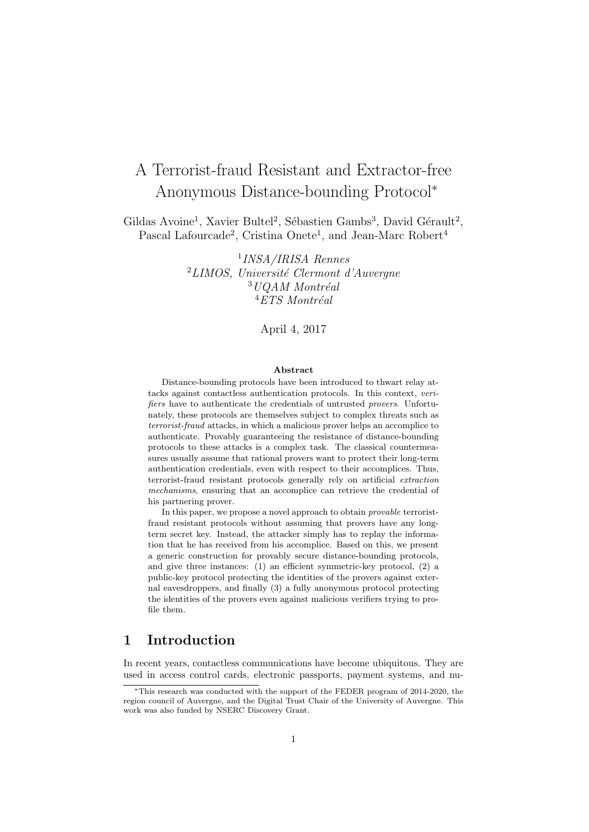# A Terrorist-fraud Resistant and Extractor-free Anonymous Distance-bounding Protocol<sup>∗</sup>

Gildas Avoine<sup>1</sup>, Xavier Bultel<sup>2</sup>, Sébastien Gambs<sup>3</sup>, David Gérault<sup>2</sup>, Pascal Lafourcade<sup>2</sup>, Cristina Onete<sup>1</sup>, and Jean-Marc Robert<sup>4</sup>

> 1 INSA/IRISA Rennes  $^{2}$ LIMOS, Université Clermont d'Auvergne  $3 UQAM$  Montréal  $4$ ETS Montréal

> > April 4, 2017

#### Abstract

Distance-bounding protocols have been introduced to thwart relay attacks against contactless authentication protocols. In this context, verifiers have to authenticate the credentials of untrusted provers. Unfortunately, these protocols are themselves subject to complex threats such as terrorist-fraud attacks, in which a malicious prover helps an accomplice to authenticate. Provably guaranteeing the resistance of distance-bounding protocols to these attacks is a complex task. The classical countermeasures usually assume that rational provers want to protect their long-term authentication credentials, even with respect to their accomplices. Thus, terrorist-fraud resistant protocols generally rely on artificial extraction mechanisms, ensuring that an accomplice can retrieve the credential of his partnering prover.

In this paper, we propose a novel approach to obtain provable terroristfraud resistant protocols without assuming that provers have any longterm secret key. Instead, the attacker simply has to replay the information that he has received from his accomplice. Based on this, we present a generic construction for provably secure distance-bounding protocols, and give three instances: (1) an efficient symmetric-key protocol, (2) a public-key protocol protecting the identities of the provers against external eavesdroppers, and finally (3) a fully anonymous protocol protecting the identities of the provers even against malicious verifiers trying to profile them.

# 1 Introduction

In recent years, contactless communications have become ubiquitous. They are used in access control cards, electronic passports, payment systems, and nu-

<sup>∗</sup>This research was conducted with the support of the FEDER program of 2014-2020, the region council of Auvergne, and the Digital Trust Chair of the University of Auvergne. This work was also funded by NSERC Discovery Grant.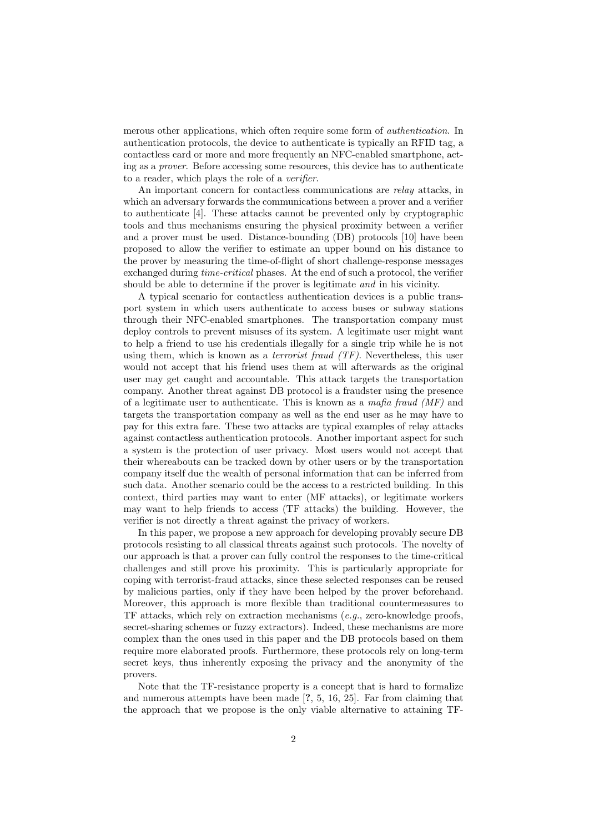merous other applications, which often require some form of authentication. In authentication protocols, the device to authenticate is typically an RFID tag, a contactless card or more and more frequently an NFC-enabled smartphone, acting as a prover. Before accessing some resources, this device has to authenticate to a reader, which plays the role of a verifier.

An important concern for contactless communications are relay attacks, in which an adversary forwards the communications between a prover and a verifier to authenticate [4]. These attacks cannot be prevented only by cryptographic tools and thus mechanisms ensuring the physical proximity between a verifier and a prover must be used. Distance-bounding (DB) protocols [10] have been proposed to allow the verifier to estimate an upper bound on his distance to the prover by measuring the time-of-flight of short challenge-response messages exchanged during time-critical phases. At the end of such a protocol, the verifier should be able to determine if the prover is legitimate and in his vicinity.

A typical scenario for contactless authentication devices is a public transport system in which users authenticate to access buses or subway stations through their NFC-enabled smartphones. The transportation company must deploy controls to prevent misuses of its system. A legitimate user might want to help a friend to use his credentials illegally for a single trip while he is not using them, which is known as a *terrorist fraud (TF)*. Nevertheless, this user would not accept that his friend uses them at will afterwards as the original user may get caught and accountable. This attack targets the transportation company. Another threat against DB protocol is a fraudster using the presence of a legitimate user to authenticate. This is known as a mafia fraud  $(MF)$  and targets the transportation company as well as the end user as he may have to pay for this extra fare. These two attacks are typical examples of relay attacks against contactless authentication protocols. Another important aspect for such a system is the protection of user privacy. Most users would not accept that their whereabouts can be tracked down by other users or by the transportation company itself due the wealth of personal information that can be inferred from such data. Another scenario could be the access to a restricted building. In this context, third parties may want to enter (MF attacks), or legitimate workers may want to help friends to access (TF attacks) the building. However, the verifier is not directly a threat against the privacy of workers.

In this paper, we propose a new approach for developing provably secure DB protocols resisting to all classical threats against such protocols. The novelty of our approach is that a prover can fully control the responses to the time-critical challenges and still prove his proximity. This is particularly appropriate for coping with terrorist-fraud attacks, since these selected responses can be reused by malicious parties, only if they have been helped by the prover beforehand. Moreover, this approach is more flexible than traditional countermeasures to TF attacks, which rely on extraction mechanisms  $(e, q, z$  gero-knowledge proofs, secret-sharing schemes or fuzzy extractors). Indeed, these mechanisms are more complex than the ones used in this paper and the DB protocols based on them require more elaborated proofs. Furthermore, these protocols rely on long-term secret keys, thus inherently exposing the privacy and the anonymity of the provers.

Note that the TF-resistance property is a concept that is hard to formalize and numerous attempts have been made [?, 5, 16, 25]. Far from claiming that the approach that we propose is the only viable alternative to attaining TF-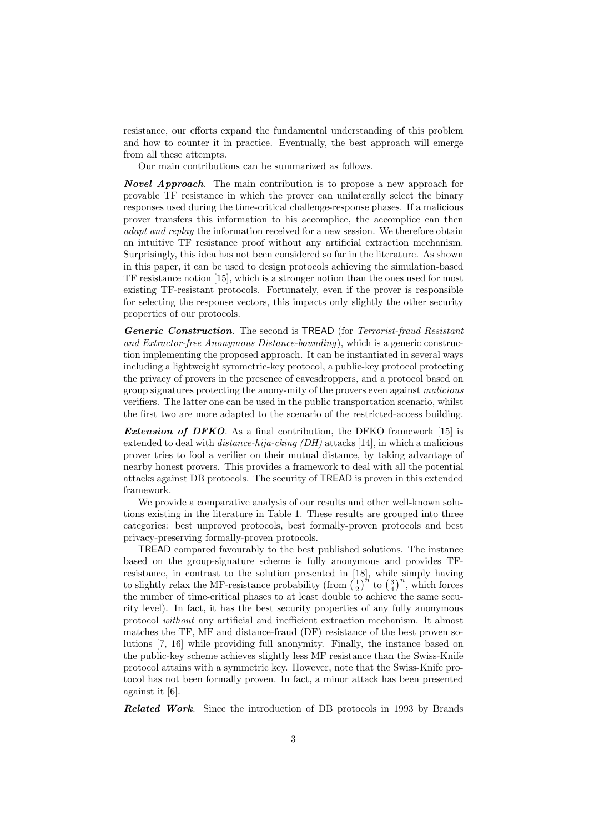resistance, our efforts expand the fundamental understanding of this problem and how to counter it in practice. Eventually, the best approach will emerge from all these attempts.

Our main contributions can be summarized as follows.

**Novel Approach**. The main contribution is to propose a new approach for provable TF resistance in which the prover can unilaterally select the binary responses used during the time-critical challenge-response phases. If a malicious prover transfers this information to his accomplice, the accomplice can then adapt and replay the information received for a new session. We therefore obtain an intuitive TF resistance proof without any artificial extraction mechanism. Surprisingly, this idea has not been considered so far in the literature. As shown in this paper, it can be used to design protocols achieving the simulation-based TF resistance notion [15], which is a stronger notion than the ones used for most existing TF-resistant protocols. Fortunately, even if the prover is responsible for selecting the response vectors, this impacts only slightly the other security properties of our protocols.

Generic Construction. The second is TREAD (for Terrorist-fraud Resistant and Extractor-free Anonymous Distance-bounding), which is a generic construction implementing the proposed approach. It can be instantiated in several ways including a lightweight symmetric-key protocol, a public-key protocol protecting the privacy of provers in the presence of eavesdroppers, and a protocol based on group signatures protecting the anony-mity of the provers even against malicious verifiers. The latter one can be used in the public transportation scenario, whilst the first two are more adapted to the scenario of the restricted-access building.

Extension of DFKO. As a final contribution, the DFKO framework [15] is extended to deal with *distance-hija-cking (DH)* attacks [14], in which a malicious prover tries to fool a verifier on their mutual distance, by taking advantage of nearby honest provers. This provides a framework to deal with all the potential attacks against DB protocols. The security of TREAD is proven in this extended framework.

We provide a comparative analysis of our results and other well-known solutions existing in the literature in Table 1. These results are grouped into three categories: best unproved protocols, best formally-proven protocols and best privacy-preserving formally-proven protocols.

TREAD compared favourably to the best published solutions. The instance based on the group-signature scheme is fully anonymous and provides TFresistance, in contrast to the solution presented in [18], while simply having to slightly relax the MF-resistance probability (from  $\left(\frac{1}{2}\right)^{n}$  to  $\left(\frac{3}{4}\right)^{n}$ , which forces the number of time-critical phases to at least double to achieve the same security level). In fact, it has the best security properties of any fully anonymous protocol without any artificial and inefficient extraction mechanism. It almost matches the TF, MF and distance-fraud (DF) resistance of the best proven solutions [7, 16] while providing full anonymity. Finally, the instance based on the public-key scheme achieves slightly less MF resistance than the Swiss-Knife protocol attains with a symmetric key. However, note that the Swiss-Knife protocol has not been formally proven. In fact, a minor attack has been presented against it [6].

Related Work. Since the introduction of DB protocols in 1993 by Brands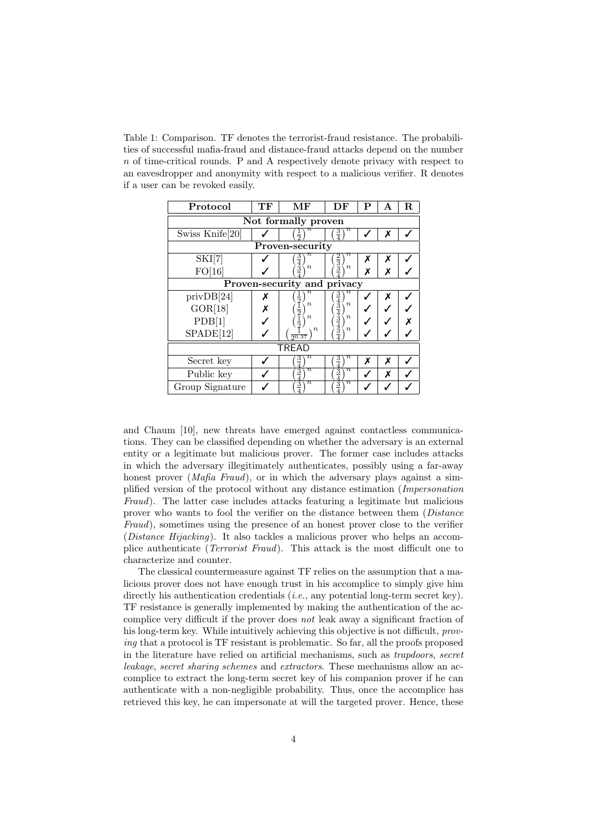Table 1: Comparison. TF denotes the terrorist-fraud resistance. The probabilities of successful mafia-fraud and distance-fraud attacks depend on the number n of time-critical rounds. P and A respectively denote privacy with respect to an eavesdropper and anonymity with respect to a malicious verifier. R denotes if a user can be revoked easily.

| Protocol                    | TF | MF                                                            | DF                                                                                                      | Р | А | R. |  |  |
|-----------------------------|----|---------------------------------------------------------------|---------------------------------------------------------------------------------------------------------|---|---|----|--|--|
| Not formally proven         |    |                                                               |                                                                                                         |   |   |    |  |  |
| Swiss Knife <sup>[20]</sup> |    |                                                               | $\frac{3}{4}$                                                                                           |   | x |    |  |  |
| Proven-security             |    |                                                               |                                                                                                         |   |   |    |  |  |
| SKI[7]                      |    | $\, n \,$<br>$rac{3}{4}$                                      | $\scriptstyle n$<br>$\frac{2}{3}$                                                                       | х | x |    |  |  |
| FO[16]                      |    | $\boldsymbol{n}$                                              | $\boldsymbol{n}$                                                                                        | x | x |    |  |  |
| Proven-security and privacy |    |                                                               |                                                                                                         |   |   |    |  |  |
| privDB[24]                  |    | $\, n \,$                                                     |                                                                                                         |   | x |    |  |  |
| GOR[18]                     |    | $\boldsymbol{n}$                                              | $\boldsymbol{n}$                                                                                        |   |   |    |  |  |
| PDB[1]                      |    | $\frac{1}{2}$ $\frac{1}{2}$ $\frac{1}{2}$<br>$\boldsymbol{n}$ | $\frac{3}{4}$ $\frac{4}{4}$ $\frac{3}{4}$ $\frac{4}{4}$ $\frac{3}{4}$ $\frac{4}{4}$<br>$\boldsymbol{n}$ |   |   |    |  |  |
| SPADE[12]                   |    | $\boldsymbol{n}$<br>$\frac{1}{20.37}$                         | $\boldsymbol{n}$                                                                                        |   |   |    |  |  |
| <b>TREAD</b>                |    |                                                               |                                                                                                         |   |   |    |  |  |
| Secret key                  |    | $\, n \,$<br>$rac{3}{4}$                                      | $\, n \,$<br>$\frac{3}{4}$                                                                              | x | x |    |  |  |
| Public key                  |    | $\pi$<br>$rac{3}{4}$                                          | $rac{3}{4}$<br>$\pi$                                                                                    |   | x |    |  |  |
| Group Signature             |    | $\pi$<br>$\frac{3}{4}$                                        | $\, n \,$<br>$\frac{3}{4}$                                                                              |   |   |    |  |  |

and Chaum [10], new threats have emerged against contactless communications. They can be classified depending on whether the adversary is an external entity or a legitimate but malicious prover. The former case includes attacks in which the adversary illegitimately authenticates, possibly using a far-away honest prover (Mafia Fraud), or in which the adversary plays against a simplified version of the protocol without any distance estimation (Impersonation Fraud). The latter case includes attacks featuring a legitimate but malicious prover who wants to fool the verifier on the distance between them (Distance Fraud), sometimes using the presence of an honest prover close to the verifier (Distance Hijacking). It also tackles a malicious prover who helps an accomplice authenticate (Terrorist Fraud). This attack is the most difficult one to characterize and counter.

The classical countermeasure against TF relies on the assumption that a malicious prover does not have enough trust in his accomplice to simply give him directly his authentication credentials (*i.e.*, any potential long-term secret key). TF resistance is generally implemented by making the authentication of the accomplice very difficult if the prover does not leak away a significant fraction of his long-term key. While intuitively achieving this objective is not difficult, *prov*ing that a protocol is TF resistant is problematic. So far, all the proofs proposed in the literature have relied on artificial mechanisms, such as trapdoors, secret leakage, secret sharing schemes and extractors. These mechanisms allow an accomplice to extract the long-term secret key of his companion prover if he can authenticate with a non-negligible probability. Thus, once the accomplice has retrieved this key, he can impersonate at will the targeted prover. Hence, these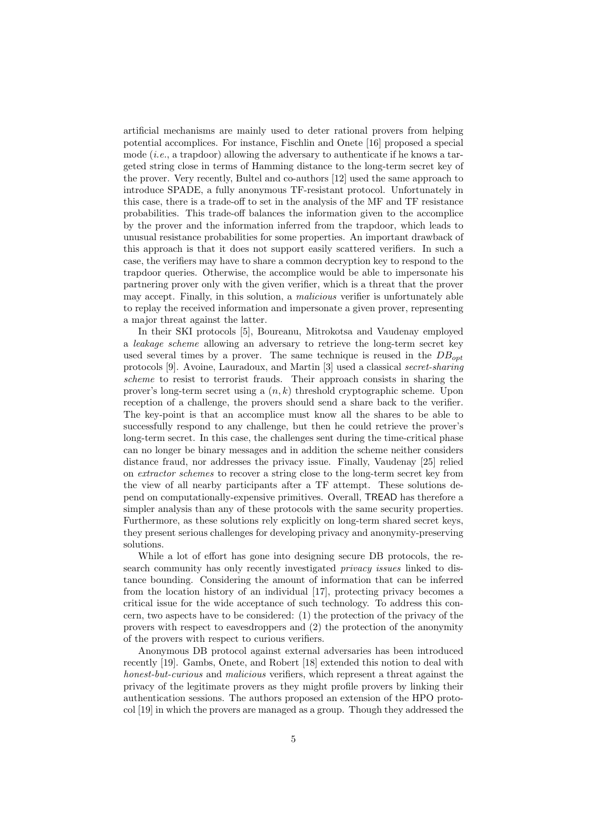artificial mechanisms are mainly used to deter rational provers from helping potential accomplices. For instance, Fischlin and Onete [16] proposed a special mode  $(i.e., a trapdoor)$  allowing the adversary to authenticate if he knows a targeted string close in terms of Hamming distance to the long-term secret key of the prover. Very recently, Bultel and co-authors [12] used the same approach to introduce SPADE, a fully anonymous TF-resistant protocol. Unfortunately in this case, there is a trade-off to set in the analysis of the MF and TF resistance probabilities. This trade-off balances the information given to the accomplice by the prover and the information inferred from the trapdoor, which leads to unusual resistance probabilities for some properties. An important drawback of this approach is that it does not support easily scattered verifiers. In such a case, the verifiers may have to share a common decryption key to respond to the trapdoor queries. Otherwise, the accomplice would be able to impersonate his partnering prover only with the given verifier, which is a threat that the prover may accept. Finally, in this solution, a malicious verifier is unfortunately able to replay the received information and impersonate a given prover, representing a major threat against the latter.

In their SKI protocols [5], Boureanu, Mitrokotsa and Vaudenay employed a leakage scheme allowing an adversary to retrieve the long-term secret key used several times by a prover. The same technique is reused in the  $DB_{opt}$ protocols [9]. Avoine, Lauradoux, and Martin [3] used a classical secret-sharing scheme to resist to terrorist frauds. Their approach consists in sharing the prover's long-term secret using a  $(n, k)$  threshold cryptographic scheme. Upon reception of a challenge, the provers should send a share back to the verifier. The key-point is that an accomplice must know all the shares to be able to successfully respond to any challenge, but then he could retrieve the prover's long-term secret. In this case, the challenges sent during the time-critical phase can no longer be binary messages and in addition the scheme neither considers distance fraud, nor addresses the privacy issue. Finally, Vaudenay [25] relied on extractor schemes to recover a string close to the long-term secret key from the view of all nearby participants after a TF attempt. These solutions depend on computationally-expensive primitives. Overall, TREAD has therefore a simpler analysis than any of these protocols with the same security properties. Furthermore, as these solutions rely explicitly on long-term shared secret keys, they present serious challenges for developing privacy and anonymity-preserving solutions.

While a lot of effort has gone into designing secure DB protocols, the research community has only recently investigated privacy issues linked to distance bounding. Considering the amount of information that can be inferred from the location history of an individual [17], protecting privacy becomes a critical issue for the wide acceptance of such technology. To address this concern, two aspects have to be considered: (1) the protection of the privacy of the provers with respect to eavesdroppers and (2) the protection of the anonymity of the provers with respect to curious verifiers.

Anonymous DB protocol against external adversaries has been introduced recently [19]. Gambs, Onete, and Robert [18] extended this notion to deal with honest-but-curious and malicious verifiers, which represent a threat against the privacy of the legitimate provers as they might profile provers by linking their authentication sessions. The authors proposed an extension of the HPO protocol [19] in which the provers are managed as a group. Though they addressed the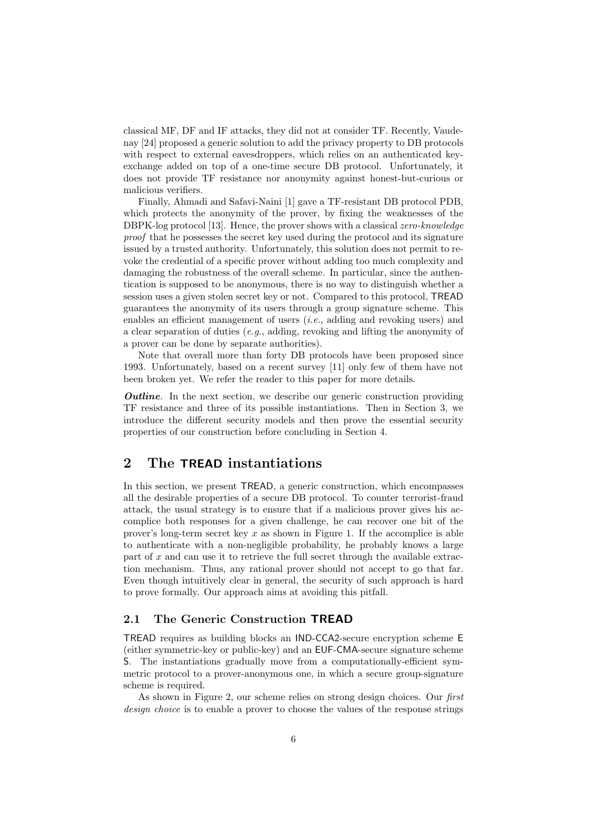classical MF, DF and IF attacks, they did not at consider TF. Recently, Vaudenay [24] proposed a generic solution to add the privacy property to DB protocols with respect to external eavesdroppers, which relies on an authenticated keyexchange added on top of a one-time secure DB protocol. Unfortunately, it does not provide TF resistance nor anonymity against honest-but-curious or malicious verifiers.

Finally, Ahmadi and Safavi-Naini [1] gave a TF-resistant DB protocol PDB, which protects the anonymity of the prover, by fixing the weaknesses of the DBPK-log protocol [13]. Hence, the prover shows with a classical zero-knowledge proof that he possesses the secret key used during the protocol and its signature issued by a trusted authority. Unfortunately, this solution does not permit to revoke the credential of a specific prover without adding too much complexity and damaging the robustness of the overall scheme. In particular, since the authentication is supposed to be anonymous, there is no way to distinguish whether a session uses a given stolen secret key or not. Compared to this protocol, TREAD guarantees the anonymity of its users through a group signature scheme. This enables an efficient management of users (*i.e.*, adding and revoking users) and a clear separation of duties (e.g., adding, revoking and lifting the anonymity of a prover can be done by separate authorities).

Note that overall more than forty DB protocols have been proposed since 1993. Unfortunately, based on a recent survey [11] only few of them have not been broken yet. We refer the reader to this paper for more details.

**Outline.** In the next section, we describe our generic construction providing TF resistance and three of its possible instantiations. Then in Section 3, we introduce the different security models and then prove the essential security properties of our construction before concluding in Section 4.

## 2 The TREAD instantiations

In this section, we present TREAD, a generic construction, which encompasses all the desirable properties of a secure DB protocol. To counter terrorist-fraud attack, the usual strategy is to ensure that if a malicious prover gives his accomplice both responses for a given challenge, he can recover one bit of the prover's long-term secret key  $x$  as shown in Figure 1. If the accomplice is able to authenticate with a non-negligible probability, he probably knows a large part of  $x$  and can use it to retrieve the full secret through the available extraction mechanism. Thus, any rational prover should not accept to go that far. Even though intuitively clear in general, the security of such approach is hard to prove formally. Our approach aims at avoiding this pitfall.

#### 2.1 The Generic Construction TREAD

TREAD requires as building blocks an IND-CCA2-secure encryption scheme E (either symmetric-key or public-key) and an EUF-CMA-secure signature scheme S. The instantiations gradually move from a computationally-efficient symmetric protocol to a prover-anonymous one, in which a secure group-signature scheme is required.

As shown in Figure 2, our scheme relies on strong design choices. Our first design choice is to enable a prover to choose the values of the response strings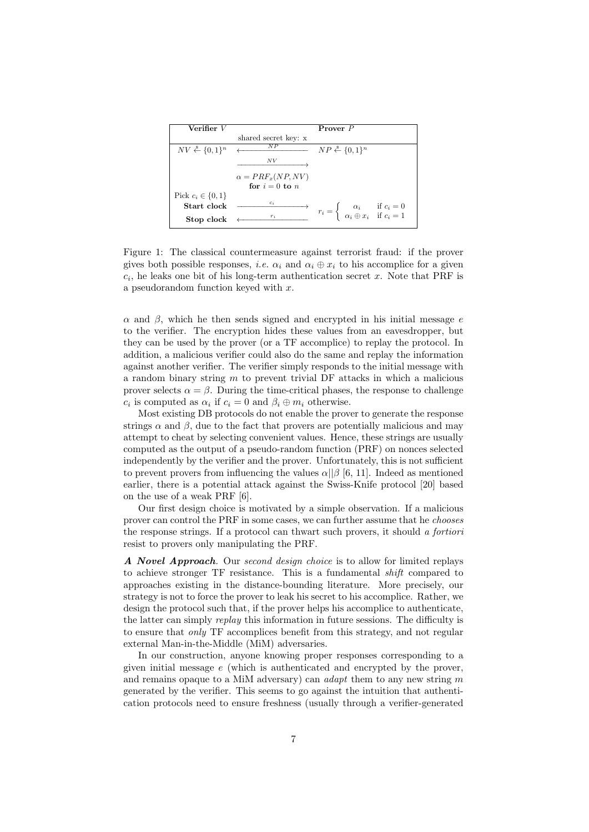| Verifier $V$                            |                                            | Prover P                                                                                                    |  |
|-----------------------------------------|--------------------------------------------|-------------------------------------------------------------------------------------------------------------|--|
|                                         | shared secret key: x                       |                                                                                                             |  |
| $NV \overset{\$}{\leftarrow} \{0,1\}^n$ | NP                                         | $NP \overset{\$}{\leftarrow} \{0,1\}^n$                                                                     |  |
|                                         | N V                                        |                                                                                                             |  |
|                                         | $\alpha = PRF_x(NP, NV)$<br>for $i=0$ to n |                                                                                                             |  |
| Pick $c_i \in \{0, 1\}$                 |                                            |                                                                                                             |  |
| Start clock                             | $c_i$                                      | $r_i = \begin{cases} \alpha_i & \text{if } c_i = 0 \\ \alpha_i \oplus x_i & \text{if } c_i = 1 \end{cases}$ |  |
| Stop clock                              | $r_i$                                      |                                                                                                             |  |

Figure 1: The classical countermeasure against terrorist fraud: if the prover gives both possible responses, *i.e.*  $\alpha_i$  and  $\alpha_i \oplus x_i$  to his accomplice for a given  $c_i$ , he leaks one bit of his long-term authentication secret x. Note that PRF is a pseudorandom function keyed with  $x$ .

 $\alpha$  and  $\beta$ , which he then sends signed and encrypted in his initial message e to the verifier. The encryption hides these values from an eavesdropper, but they can be used by the prover (or a TF accomplice) to replay the protocol. In addition, a malicious verifier could also do the same and replay the information against another verifier. The verifier simply responds to the initial message with a random binary string  $m$  to prevent trivial DF attacks in which a malicious prover selects  $\alpha = \beta$ . During the time-critical phases, the response to challenge  $c_i$  is computed as  $\alpha_i$  if  $c_i = 0$  and  $\beta_i \oplus m_i$  otherwise.

Most existing DB protocols do not enable the prover to generate the response strings  $\alpha$  and  $\beta$ , due to the fact that provers are potentially malicious and may attempt to cheat by selecting convenient values. Hence, these strings are usually computed as the output of a pseudo-random function (PRF) on nonces selected independently by the verifier and the prover. Unfortunately, this is not sufficient to prevent provers from influencing the values  $\alpha$ || $\beta$  [6, 11]. Indeed as mentioned earlier, there is a potential attack against the Swiss-Knife protocol [20] based on the use of a weak PRF [6].

Our first design choice is motivated by a simple observation. If a malicious prover can control the PRF in some cases, we can further assume that he chooses the response strings. If a protocol can thwart such provers, it should a fortiori resist to provers only manipulating the PRF.

A Novel Approach. Our second design choice is to allow for limited replays to achieve stronger TF resistance. This is a fundamental shift compared to approaches existing in the distance-bounding literature. More precisely, our strategy is not to force the prover to leak his secret to his accomplice. Rather, we design the protocol such that, if the prover helps his accomplice to authenticate, the latter can simply *replay* this information in future sessions. The difficulty is to ensure that only TF accomplices benefit from this strategy, and not regular external Man-in-the-Middle (MiM) adversaries.

In our construction, anyone knowing proper responses corresponding to a given initial message  $e$  (which is authenticated and encrypted by the prover, and remains opaque to a MiM adversary) can *adapt* them to any new string  $m$ generated by the verifier. This seems to go against the intuition that authentication protocols need to ensure freshness (usually through a verifier-generated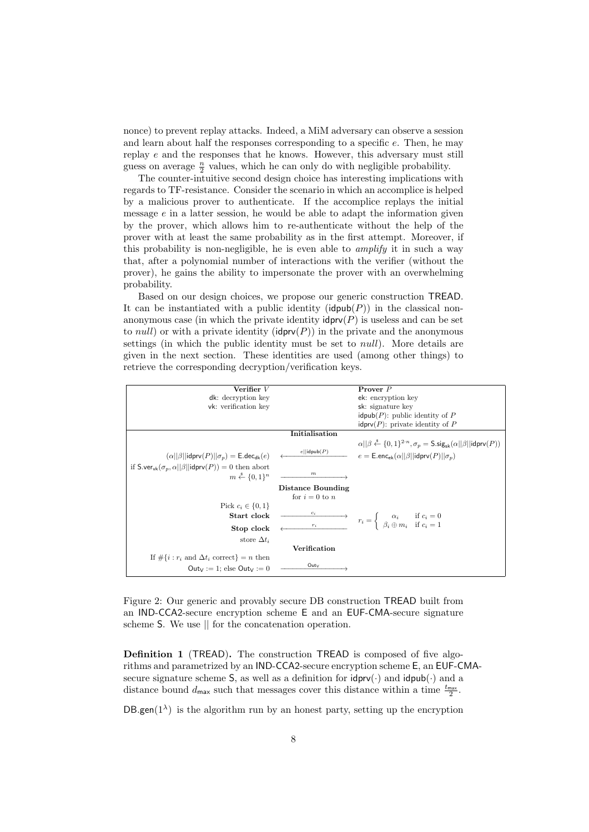nonce) to prevent replay attacks. Indeed, a MiM adversary can observe a session and learn about half the responses corresponding to a specific e. Then, he may replay  $e$  and the responses that he knows. However, this adversary must still guess on average  $\frac{n}{2}$  values, which he can only do with negligible probability.

The counter-intuitive second design choice has interesting implications with regards to TF-resistance. Consider the scenario in which an accomplice is helped by a malicious prover to authenticate. If the accomplice replays the initial message  $e$  in a latter session, he would be able to adapt the information given by the prover, which allows him to re-authenticate without the help of the prover with at least the same probability as in the first attempt. Moreover, if this probability is non-negligible, he is even able to *amplify* it in such a way that, after a polynomial number of interactions with the verifier (without the prover), he gains the ability to impersonate the prover with an overwhelming probability.

Based on our design choices, we propose our generic construction TREAD. It can be instantiated with a public identity  $(\mathsf{idpub}(P))$  in the classical nonanonymous case (in which the private identity  $\mathsf{idprv}(P)$  is useless and can be set to *null*) or with a private identity ( $\mathsf{idprv}(P)$ ) in the private and the anonymous settings (in which the public identity must be set to *null*). More details are given in the next section. These identities are used (among other things) to retrieve the corresponding decryption/verification keys.



Figure 2: Our generic and provably secure DB construction TREAD built from an IND-CCA2-secure encryption scheme E and an EUF-CMA-secure signature scheme S. We use || for the concatenation operation.

Definition 1 (TREAD). The construction TREAD is composed of five algorithms and parametrized by an IND-CCA2-secure encryption scheme E, an EUF-CMAsecure signature scheme S, as well as a definition for  $\text{idprv}(\cdot)$  and  $\text{idpub}(\cdot)$  and a distance bound  $d_{\text{max}}$  such that messages cover this distance within a time  $\frac{t_{\text{max}}}{2}$ .

 $DB$ .gen( $1^{\lambda}$ ) is the algorithm run by an honest party, setting up the encryption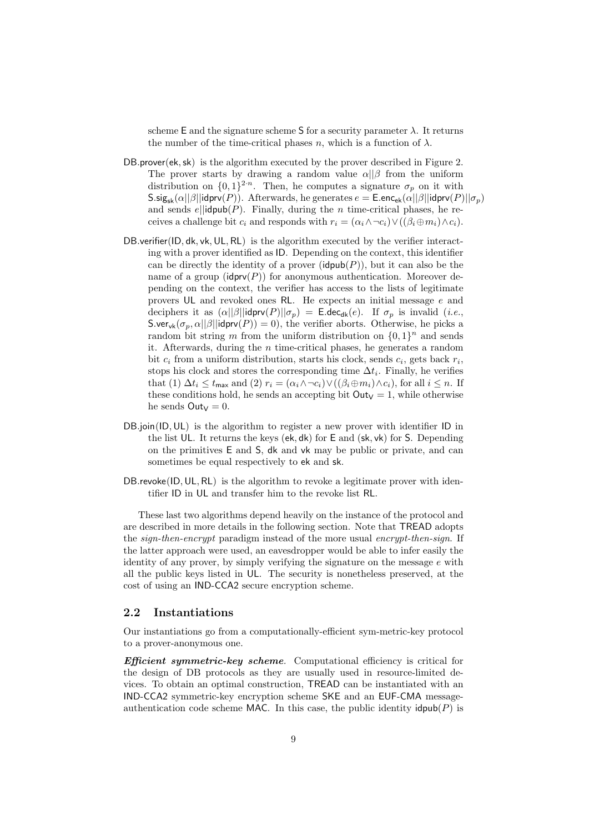scheme E and the signature scheme S for a security parameter  $\lambda$ . It returns the number of the time-critical phases n, which is a function of  $\lambda$ .

- DB.prover(ek,sk) is the algorithm executed by the prover described in Figure 2. The prover starts by drawing a random value  $\alpha || \beta$  from the uniform distribution on  $\{0,1\}^{2\cdot n}$ . Then, he computes a signature  $\sigma_p$  on it with  $\text{S}.sig_{\text{sk}}(\alpha||\beta||\text{idprv}(P)).$  Afterwards, he generates  $e = \text{E.enc}_{\text{ek}}(\alpha||\beta||\text{idprv}(P)||\sigma_p)$ and sends  $e||i\phi(\mathbf{p})$ . Finally, during the *n* time-critical phases, he receives a challenge bit  $c_i$  and responds with  $r_i = (\alpha_i \wedge \neg c_i) \vee ((\beta_i \oplus m_i) \wedge c_i).$
- DB.verifier(ID, dk, vk, UL, RL) is the algorithm executed by the verifier interacting with a prover identified as ID. Depending on the context, this identifier can be directly the identity of a prover ( $\mathsf{idpub}(P)$ ), but it can also be the name of a group  $(\text{idprv}(P))$  for anonymous authentication. Moreover depending on the context, the verifier has access to the lists of legitimate provers UL and revoked ones RL. He expects an initial message e and deciphers it as  $(\alpha||\beta||\text{idprv}(P)||\sigma_p) = \text{E-dec}_{\text{dk}}(e)$ . If  $\sigma_p$  is invalid (*i.e.*, S.ver<sub>vk</sub>( $\sigma_p$ ,  $\alpha$ ||β||idprv(P)) = 0), the verifier aborts. Otherwise, he picks a random bit string m from the uniform distribution on  $\{0,1\}^n$  and sends it. Afterwards, during the n time-critical phases, he generates a random bit  $c_i$  from a uniform distribution, starts his clock, sends  $c_i$ , gets back  $r_i$ , stops his clock and stores the corresponding time  $\Delta t_i$ . Finally, he verifies that (1)  $\Delta t_i \leq t_{\max}$  and (2)  $r_i = (\alpha_i \wedge \neg c_i) \vee ((\beta_i \oplus m_i) \wedge c_i)$ , for all  $i \leq n$ . If these conditions hold, he sends an accepting bit  $Out_V = 1$ , while otherwise he sends  $\mathsf{Out}_V = 0$ .
- DB.join(ID, UL) is the algorithm to register a new prover with identifier ID in the list UL. It returns the keys (ek, dk) for E and (sk, vk) for S. Depending on the primitives E and S, dk and vk may be public or private, and can sometimes be equal respectively to ek and sk.
- DB.revoke(ID, UL, RL) is the algorithm to revoke a legitimate prover with identifier ID in UL and transfer him to the revoke list RL.

These last two algorithms depend heavily on the instance of the protocol and are described in more details in the following section. Note that TREAD adopts the *sign-then-encrypt* paradigm instead of the more usual *encrypt-then-sign*. If the latter approach were used, an eavesdropper would be able to infer easily the identity of any prover, by simply verifying the signature on the message  $e$  with all the public keys listed in UL. The security is nonetheless preserved, at the cost of using an IND-CCA2 secure encryption scheme.

#### 2.2 Instantiations

Our instantiations go from a computationally-efficient sym-metric-key protocol to a prover-anonymous one.

Efficient symmetric-key scheme. Computational efficiency is critical for the design of DB protocols as they are usually used in resource-limited devices. To obtain an optimal construction, TREAD can be instantiated with an IND-CCA2 symmetric-key encryption scheme SKE and an EUF-CMA messageauthentication code scheme MAC. In this case, the public identity  $\mathsf{idpub}(P)$  is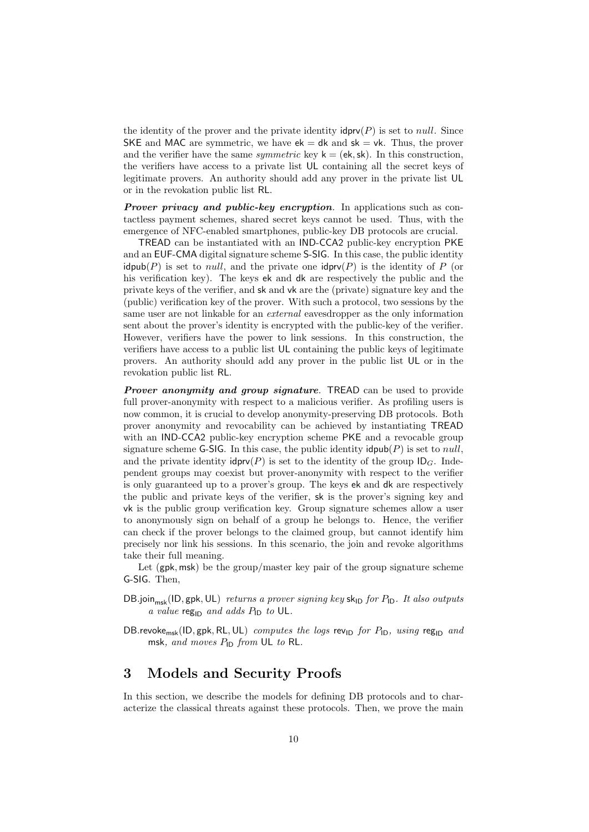the identity of the prover and the private identity  $\mathsf{idprv}(P)$  is set to *null*. Since SKE and MAC are symmetric, we have  $ek = dk$  and  $sk = vk$ . Thus, the prover and the verifier have the same *symmetric* key  $k = (ek, sk)$ . In this construction, the verifiers have access to a private list UL containing all the secret keys of legitimate provers. An authority should add any prover in the private list UL or in the revokation public list RL.

**Prover privacy and public-key encryption.** In applications such as contactless payment schemes, shared secret keys cannot be used. Thus, with the emergence of NFC-enabled smartphones, public-key DB protocols are crucial.

TREAD can be instantiated with an IND-CCA2 public-key encryption PKE and an EUF-CMA digital signature scheme S-SIG. In this case, the public identity  $\mathsf{idpub}(P)$  is set to *null*, and the private one  $\mathsf{idprv}(P)$  is the identity of P (or his verification key). The keys ek and dk are respectively the public and the private keys of the verifier, and sk and vk are the (private) signature key and the (public) verification key of the prover. With such a protocol, two sessions by the same user are not linkable for an external eavesdropper as the only information sent about the prover's identity is encrypted with the public-key of the verifier. However, verifiers have the power to link sessions. In this construction, the verifiers have access to a public list UL containing the public keys of legitimate provers. An authority should add any prover in the public list UL or in the revokation public list RL.

**Prover anonymity and group signature.** TREAD can be used to provide full prover-anonymity with respect to a malicious verifier. As profiling users is now common, it is crucial to develop anonymity-preserving DB protocols. Both prover anonymity and revocability can be achieved by instantiating TREAD with an IND-CCA2 public-key encryption scheme PKE and a revocable group signature scheme G-SIG. In this case, the public identity  $\mathsf{dpub}(P)$  is set to *null*, and the private identity  $\mathsf{idprv}(P)$  is set to the identity of the group  $\mathsf{ID}_G$ . Independent groups may coexist but prover-anonymity with respect to the verifier is only guaranteed up to a prover's group. The keys ek and dk are respectively the public and private keys of the verifier, sk is the prover's signing key and vk is the public group verification key. Group signature schemes allow a user to anonymously sign on behalf of a group he belongs to. Hence, the verifier can check if the prover belongs to the claimed group, but cannot identify him precisely nor link his sessions. In this scenario, the join and revoke algorithms take their full meaning.

Let (gpk, msk) be the group/master key pair of the group signature scheme G-SIG. Then,

- DB.join<sub>msk</sub>(ID, gpk, UL) returns a prover signing key sk<sub>ID</sub> for  $P_{\text{ID}}$ . It also outputs a value  $reg_{ID}$  and adds  $P_{ID}$  to UL.
- DB.revoke<sub>msk</sub>(ID, gpk, RL, UL) computes the logs rev<sub>ID</sub> for  $P_{\text{ID}}$ , using reg<sub>ID</sub> and msk, and moves  $P_{\text{ID}}$  from UL to RL.

## 3 Models and Security Proofs

In this section, we describe the models for defining DB protocols and to characterize the classical threats against these protocols. Then, we prove the main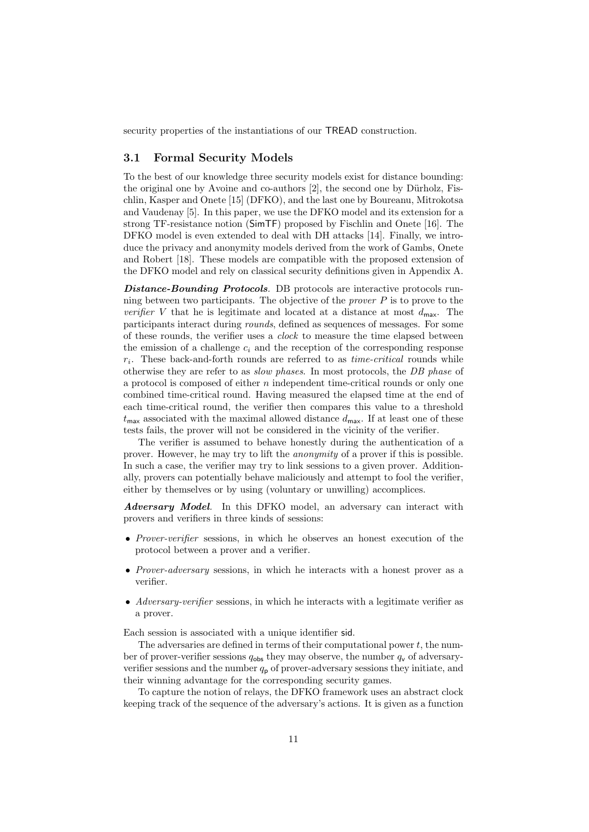security properties of the instantiations of our TREAD construction.

#### 3.1 Formal Security Models

To the best of our knowledge three security models exist for distance bounding: the original one by Avoine and co-authors  $[2]$ , the second one by Dürholz, Fischlin, Kasper and Onete [15] (DFKO), and the last one by Boureanu, Mitrokotsa and Vaudenay [5]. In this paper, we use the DFKO model and its extension for a strong TF-resistance notion (SimTF) proposed by Fischlin and Onete [16]. The DFKO model is even extended to deal with DH attacks [14]. Finally, we introduce the privacy and anonymity models derived from the work of Gambs, Onete and Robert [18]. These models are compatible with the proposed extension of the DFKO model and rely on classical security definitions given in Appendix A.

Distance-Bounding Protocols. DB protocols are interactive protocols running between two participants. The objective of the *prover*  $P$  is to prove to the verifier V that he is legitimate and located at a distance at most  $d_{\text{max}}$ . The participants interact during rounds, defined as sequences of messages. For some of these rounds, the verifier uses a clock to measure the time elapsed between the emission of a challenge  $c_i$  and the reception of the corresponding response  $r_i$ . These back-and-forth rounds are referred to as  $time-critical$  rounds while otherwise they are refer to as slow phases. In most protocols, the DB phase of a protocol is composed of either  $n$  independent time-critical rounds or only one combined time-critical round. Having measured the elapsed time at the end of each time-critical round, the verifier then compares this value to a threshold  $t_{\text{max}}$  associated with the maximal allowed distance  $d_{\text{max}}$ . If at least one of these tests fails, the prover will not be considered in the vicinity of the verifier.

The verifier is assumed to behave honestly during the authentication of a prover. However, he may try to lift the anonymity of a prover if this is possible. In such a case, the verifier may try to link sessions to a given prover. Additionally, provers can potentially behave maliciously and attempt to fool the verifier, either by themselves or by using (voluntary or unwilling) accomplices.

Adversary Model. In this DFKO model, an adversary can interact with provers and verifiers in three kinds of sessions:

- Prover-verifier sessions, in which he observes an honest execution of the protocol between a prover and a verifier.
- Prover-adversary sessions, in which he interacts with a honest prover as a verifier.
- Adversary-verifier sessions, in which he interacts with a legitimate verifier as a prover.

Each session is associated with a unique identifier sid.

The adversaries are defined in terms of their computational power  $t$ , the number of prover-verifier sessions  $q_{obs}$  they may observe, the number  $q_v$  of adversaryverifier sessions and the number  $q<sub>p</sub>$  of prover-adversary sessions they initiate, and their winning advantage for the corresponding security games.

To capture the notion of relays, the DFKO framework uses an abstract clock keeping track of the sequence of the adversary's actions. It is given as a function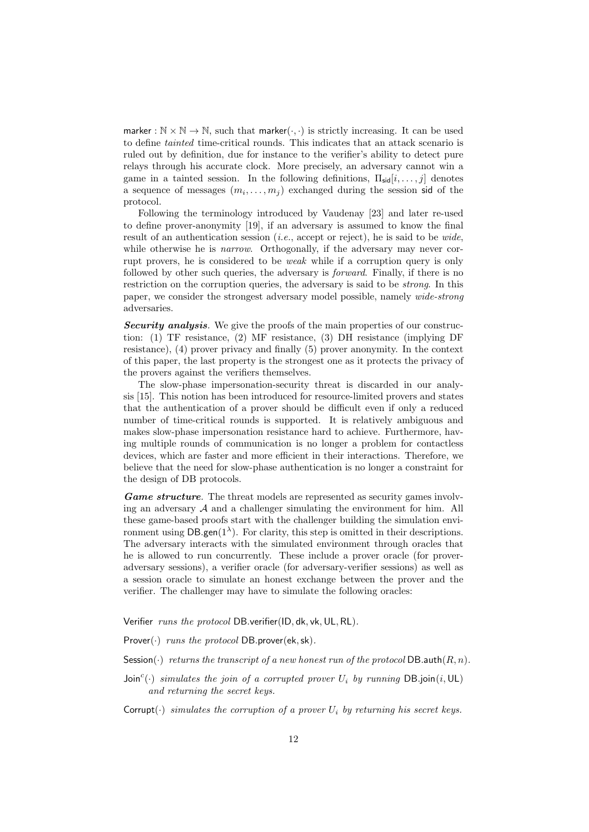marker :  $\mathbb{N} \times \mathbb{N} \to \mathbb{N}$ , such that marker $(\cdot, \cdot)$  is strictly increasing. It can be used to define tainted time-critical rounds. This indicates that an attack scenario is ruled out by definition, due for instance to the verifier's ability to detect pure relays through his accurate clock. More precisely, an adversary cannot win a game in a tainted session. In the following definitions,  $\Pi_{\rm sid}[i,\ldots,j]$  denotes a sequence of messages  $(m_i, \ldots, m_j)$  exchanged during the session sid of the protocol.

Following the terminology introduced by Vaudenay [23] and later re-used to define prover-anonymity [19], if an adversary is assumed to know the final result of an authentication session (*i.e.*, accept or reject), he is said to be *wide*, while otherwise he is *narrow*. Orthogonally, if the adversary may never corrupt provers, he is considered to be weak while if a corruption query is only followed by other such queries, the adversary is *forward*. Finally, if there is no restriction on the corruption queries, the adversary is said to be *strong*. In this paper, we consider the strongest adversary model possible, namely wide-strong adversaries.

Security analysis. We give the proofs of the main properties of our construction: (1) TF resistance, (2) MF resistance, (3) DH resistance (implying DF resistance), (4) prover privacy and finally (5) prover anonymity. In the context of this paper, the last property is the strongest one as it protects the privacy of the provers against the verifiers themselves.

The slow-phase impersonation-security threat is discarded in our analysis [15]. This notion has been introduced for resource-limited provers and states that the authentication of a prover should be difficult even if only a reduced number of time-critical rounds is supported. It is relatively ambiguous and makes slow-phase impersonation resistance hard to achieve. Furthermore, having multiple rounds of communication is no longer a problem for contactless devices, which are faster and more efficient in their interactions. Therefore, we believe that the need for slow-phase authentication is no longer a constraint for the design of DB protocols.

Game structure. The threat models are represented as security games involving an adversary  $A$  and a challenger simulating the environment for him. All these game-based proofs start with the challenger building the simulation environment using  $DB$ .gen( $1^{\lambda}$ ). For clarity, this step is omitted in their descriptions. The adversary interacts with the simulated environment through oracles that he is allowed to run concurrently. These include a prover oracle (for proveradversary sessions), a verifier oracle (for adversary-verifier sessions) as well as a session oracle to simulate an honest exchange between the prover and the verifier. The challenger may have to simulate the following oracles:

Verifier runs the protocol DB.verifier(ID, dk, vk, UL, RL).

Prover( $\cdot$ ) runs the protocol DB.prover(ek, sk).

- Session( $\cdot$ ) returns the transcript of a new honest run of the protocol DB.auth $(R, n)$ .
- $Join<sup>c</sup>(·)$  simulates the join of a corrupted prover  $U_i$  by running DB.join(i, UL) and returning the secret keys.

Corrupt( $\cdot$ ) simulates the corruption of a prover U<sub>i</sub> by returning his secret keys.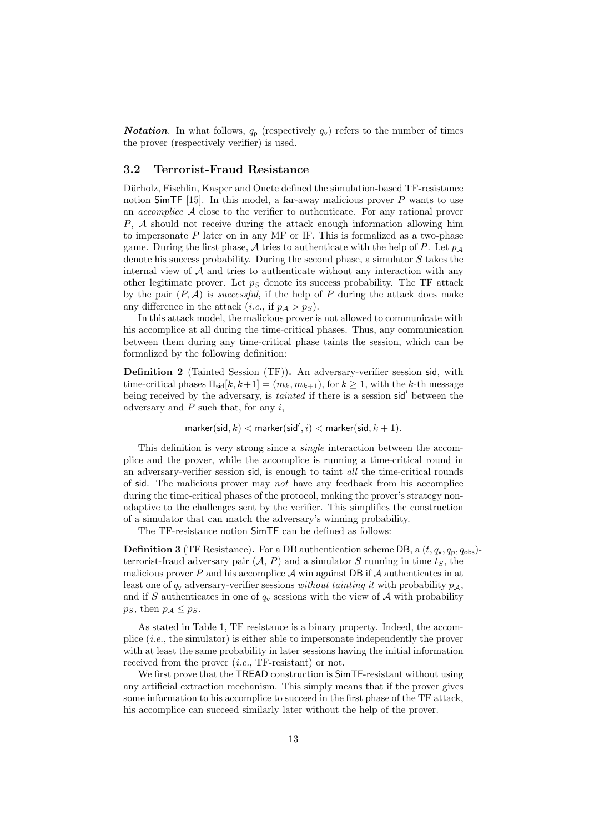**Notation.** In what follows,  $q_p$  (respectively  $q_v$ ) refers to the number of times the prover (respectively verifier) is used.

#### 3.2 Terrorist-Fraud Resistance

Dürholz, Fischlin, Kasper and Onete defined the simulation-based TF-resistance notion SimTF  $[15]$ . In this model, a far-away malicious prover P wants to use an *accomplice*  $A$  close to the verifier to authenticate. For any rational prover P, A should not receive during the attack enough information allowing him to impersonate  $P$  later on in any MF or IF. This is formalized as a two-phase game. During the first phase, A tries to authenticate with the help of P. Let  $p_A$ denote his success probability. During the second phase, a simulator S takes the internal view of  $A$  and tries to authenticate without any interaction with any other legitimate prover. Let  $p<sub>S</sub>$  denote its success probability. The TF attack by the pair  $(P, A)$  is *successful*, if the help of P during the attack does make any difference in the attack (*i.e.*, if  $p_A > p_S$ ).

In this attack model, the malicious prover is not allowed to communicate with his accomplice at all during the time-critical phases. Thus, any communication between them during any time-critical phase taints the session, which can be formalized by the following definition:

Definition 2 (Tainted Session (TF)). An adversary-verifier session sid, with time-critical phases  $\Pi_{\text{sid}}[k, k+1] = (m_k, m_{k+1}),$  for  $k \ge 1$ , with the k-th message being received by the adversary, is *tainted* if there is a session sid<sup>'</sup> between the adversary and  $P$  such that, for any  $i$ ,

 $\mathsf{marker}(\mathsf{sid}, k) < \mathsf{marker}(\mathsf{sid}', i) < \mathsf{marker}(\mathsf{sid}, k+1).$ 

This definition is very strong since a single interaction between the accomplice and the prover, while the accomplice is running a time-critical round in an adversary-verifier session sid, is enough to taint all the time-critical rounds of sid. The malicious prover may not have any feedback from his accomplice during the time-critical phases of the protocol, making the prover's strategy nonadaptive to the challenges sent by the verifier. This simplifies the construction of a simulator that can match the adversary's winning probability.

The TF-resistance notion SimTF can be defined as follows:

**Definition 3** (TF Resistance). For a DB authentication scheme DB, a  $(t, q_v, q_{\text{obs}})$ terrorist-fraud adversary pair  $(A, P)$  and a simulator S running in time  $t<sub>S</sub>$ , the malicious prover P and his accomplice  $\mathcal A$  win against DB if  $\mathcal A$  authenticates in at least one of  $q_v$  adversary-verifier sessions without tainting it with probability  $p_A$ , and if S authenticates in one of  $q_v$  sessions with the view of A with probability  $p_S$ , then  $p_A \leq p_S$ .

As stated in Table 1, TF resistance is a binary property. Indeed, the accomplice  $(i.e.,$  the simulator) is either able to impersonate independently the prover with at least the same probability in later sessions having the initial information received from the prover *(i.e.*, TF-resistant) or not.

We first prove that the TREAD construction is SimTF-resistant without using any artificial extraction mechanism. This simply means that if the prover gives some information to his accomplice to succeed in the first phase of the TF attack, his accomplice can succeed similarly later without the help of the prover.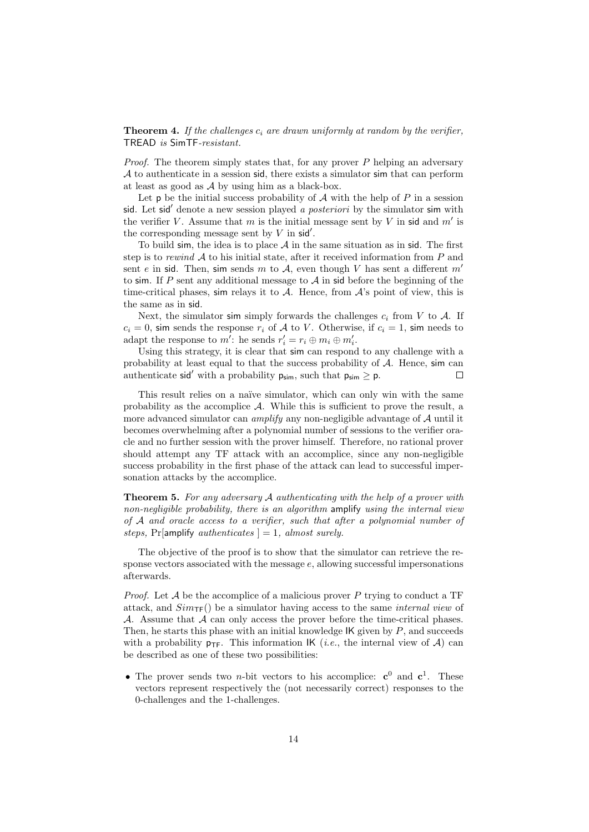**Theorem 4.** If the challenges  $c_i$  are drawn uniformly at random by the verifier, TREAD is SimTF-resistant.

*Proof.* The theorem simply states that, for any prover  $P$  helping an adversary  $A$  to authenticate in a session sid, there exists a simulator sim that can perform at least as good as  $\mathcal A$  by using him as a black-box.

Let  $\mathsf p$  be the initial success probability of  $\mathcal A$  with the help of  $P$  in a session sid. Let sid' denote a new session played a posteriori by the simulator sim with the verifier V. Assume that m is the initial message sent by V in sid and  $m'$  is the corresponding message sent by  $V$  in sid'.

To build sim, the idea is to place  $A$  in the same situation as in sid. The first step is to rewind  $A$  to his initial state, after it received information from P and sent e in sid. Then, sim sends m to A, even though V has sent a different  $m'$ to sim. If P sent any additional message to  $A$  in sid before the beginning of the time-critical phases, sim relays it to  $A$ . Hence, from  $A$ 's point of view, this is the same as in sid.

Next, the simulator sim simply forwards the challenges  $c_i$  from V to A. If  $c_i = 0$ , sim sends the response  $r_i$  of A to V. Otherwise, if  $c_i = 1$ , sim needs to adapt the response to  $m'$ : he sends  $r'_i = r_i \oplus m_i \oplus m'_i$ .

Using this strategy, it is clear that sim can respond to any challenge with a probability at least equal to that the success probability of  $A$ . Hence, sim can authenticate sid<sup>'</sup> with a probability  $p_{sim}$ , such that  $p_{sim} \ge p$ .  $\Box$ 

This result relies on a naïve simulator, which can only win with the same probability as the accomplice  $A$ . While this is sufficient to prove the result, a more advanced simulator can *amplify* any non-negligible advantage of  $A$  until it becomes overwhelming after a polynomial number of sessions to the verifier oracle and no further session with the prover himself. Therefore, no rational prover should attempt any TF attack with an accomplice, since any non-negligible success probability in the first phase of the attack can lead to successful impersonation attacks by the accomplice.

**Theorem 5.** For any adversary  $A$  authenticating with the help of a prover with non-negligible probability, there is an algorithm amplify using the internal view of A and oracle access to a verifier, such that after a polynomial number of steps, Pr[amplify authenticates  $] = 1$ , almost surely.

The objective of the proof is to show that the simulator can retrieve the response vectors associated with the message  $e$ , allowing successful impersonations afterwards.

*Proof.* Let  $\mathcal A$  be the accomplice of a malicious prover P trying to conduct a TF attack, and  $Sim_{\text{TF}}()$  be a simulator having access to the same *internal view* of  $A$ . Assume that  $A$  can only access the prover before the time-critical phases. Then, he starts this phase with an initial knowledge  $\mathsf{IK}$  given by  $P$ , and succeeds with a probability  $p_{\text{TF}}$ . This information IK (*i.e.*, the internal view of A) can be described as one of these two possibilities:

• The prover sends two *n*-bit vectors to his accomplice:  $c^0$  and  $c^1$ . These vectors represent respectively the (not necessarily correct) responses to the 0-challenges and the 1-challenges.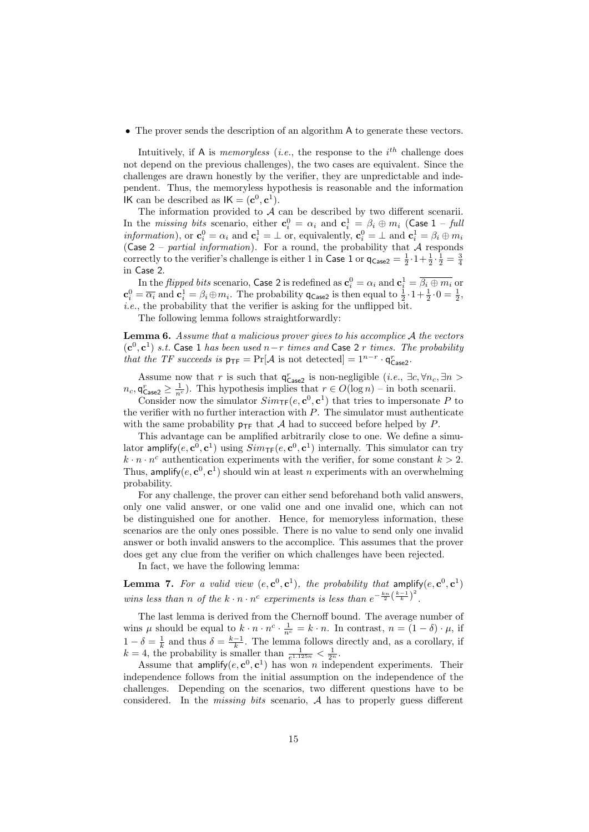• The prover sends the description of an algorithm A to generate these vectors.

Intuitively, if A is *memoryless* (*i.e.*, the response to the  $i^{th}$  challenge does not depend on the previous challenges), the two cases are equivalent. Since the challenges are drawn honestly by the verifier, they are unpredictable and independent. Thus, the memoryless hypothesis is reasonable and the information IK can be described as  $IK = (c^0, c^1)$ .

The information provided to  $A$  can be described by two different scenarii. In the *missing bits* scenario, either  $\mathbf{c}_i^0 = \alpha_i$  and  $\mathbf{c}_i^1 = \beta_i \oplus m_i$  (Case 1 – full *information*), or  $\mathbf{c}_i^0 = \alpha_i$  and  $\mathbf{c}_i^1 = \perp$  or, equivalently,  $\mathbf{c}_i^0 = \perp$  and  $\mathbf{c}_i^1 = \beta_i \oplus m_i$ (Case 2 – partial information). For a round, the probability that  $\mathcal A$  responds correctly to the verifier's challenge is either 1 in Case 1 or  $q_{\text{Case2}} = \frac{1}{2} \cdot 1 + \frac{1}{2} \cdot \frac{1}{2} = \frac{3}{4}$ in Case 2.

In the *flipped bits* scenario, Case 2 is redefined as  $\mathbf{c}_i^0 = \alpha_i$  and  $\mathbf{c}_i^1 = \overline{\beta_i \oplus m_i}$  or  $\mathbf{c}_i^0 = \overline{\alpha_i}$  and  $\mathbf{c}_i^1 = \beta_i \oplus m_i$ . The probability  $\mathsf{q}_{\mathsf{Case2}}$  is then equal to  $\frac{1}{2} \cdot 1 + \frac{1}{2} \cdot 0 = \frac{1}{2}$ , i.e., the probability that the verifier is asking for the unflipped bit.

The following lemma follows straightforwardly:

**Lemma 6.** Assume that a malicious prover gives to his accomplice  $A$  the vectors  $(c^0, c^1)$  s.t. Case 1 has been used n–r times and Case 2 r times. The probability that the TF succeeds is  $p_{\text{TF}} = \Pr[\mathcal{A} \text{ is not detected}] = 1^{n-r} \cdot \mathsf{q}_{\text{Case2}}^r$ .

Assume now that r is such that  $\mathsf{q}_{\mathsf{Case2}}^r$  is non-negligible (*i.e.*,  $\exists c, \forall n_c, \exists n >$  $n_c, \mathsf{q}_{\mathsf{Case2}}^r \geq \frac{1}{n^c}$ ). This hypothesis implies that  $r \in O(\log n)$  – in both scenarii.

Consider now the simulator  $Sim_{\mathsf{TF}}(e, \mathbf{c}^0, \mathbf{c}^1)$  that tries to impersonate P to the verifier with no further interaction with  $P$ . The simulator must authenticate with the same probability  $p_{TF}$  that A had to succeed before helped by P.

This advantage can be amplified arbitrarily close to one. We define a simulator amplify $(e, \mathbf{c}^0, \mathbf{c}^1)$  using  $Sim_{\mathsf{TF}}(e, \mathbf{c}^0, \mathbf{c}^1)$  internally. This simulator can try  $k \cdot n \cdot n^c$  authentication experiments with the verifier, for some constant  $k > 2$ . Thus, amplify $(e, \mathbf{c}^0, \mathbf{c}^1)$  should win at least n experiments with an overwhelming probability.

For any challenge, the prover can either send beforehand both valid answers, only one valid answer, or one valid one and one invalid one, which can not be distinguished one for another. Hence, for memoryless information, these scenarios are the only ones possible. There is no value to send only one invalid answer or both invalid answers to the accomplice. This assumes that the prover does get any clue from the verifier on which challenges have been rejected.

In fact, we have the following lemma:

**Lemma 7.** For a valid view  $(e, \mathbf{c}^0, \mathbf{c}^1)$ , the probability that amplify $(e, \mathbf{c}^0, \mathbf{c}^1)$ wins less than n of the  $k \cdot n \cdot n^c$  experiments is less than  $e^{-\frac{k n}{2} (\frac{k-1}{k})^2}$ .

The last lemma is derived from the Chernoff bound. The average number of wins  $\mu$  should be equal to  $k \cdot n \cdot n^c \cdot \frac{1}{n^c} = k \cdot n$ . In contrast,  $n = (1 - \delta) \cdot \mu$ , if  $1 - \delta = \frac{1}{k}$  and thus  $\delta = \frac{k-1}{k}$ . The lemma follows directly and, as a corollary, if  $k = 4$ , the probability is smaller than  $\frac{1}{e^{1.125n}} < \frac{1}{2^n}$ .

Assume that amplify $(e, c^0, c^1)$  has won n independent experiments. Their independence follows from the initial assumption on the independence of the challenges. Depending on the scenarios, two different questions have to be considered. In the *missing bits* scenario,  $A$  has to properly guess different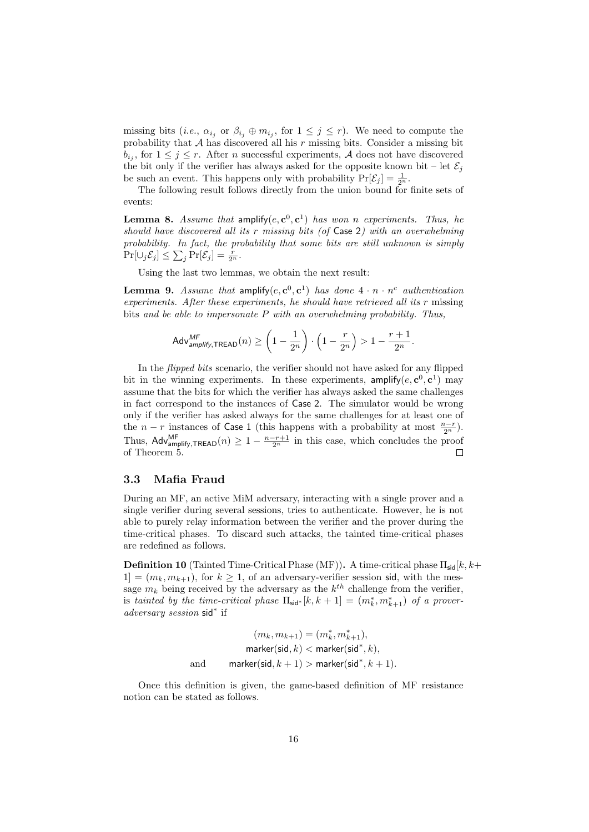missing bits (*i.e.*,  $\alpha_{i_j}$  or  $\beta_{i_j} \oplus m_{i_j}$ , for  $1 \leq j \leq r$ ). We need to compute the probability that  $A$  has discovered all his  $r$  missing bits. Consider a missing bit  $b_{i_j}$ , for  $1 \leq j \leq r$ . After *n* successful experiments, *A* does not have discovered the bit only if the verifier has always asked for the opposite known bit – let  $\mathcal{E}_j$ be such an event. This happens only with probability  $Pr[\mathcal{E}_j] = \frac{1}{2^n}$ .

The following result follows directly from the union bound for finite sets of events:

**Lemma 8.** Assume that amplify $(e, c^0, c^1)$  has won n experiments. Thus, he should have discovered all its r missing bits (of Case 2) with an overwhelming probability. In fact, the probability that some bits are still unknown is simply  $\Pr[\cup_j \mathcal{E}_j] \leq \sum_j \Pr[\mathcal{E}_j] = \frac{r}{2^n}.$ 

Using the last two lemmas, we obtain the next result:

**Lemma 9.** Assume that amplify $(e, \mathbf{c}^0, \mathbf{c}^1)$  has done  $4 \cdot n \cdot n^c$  authentication experiments. After these experiments, he should have retrieved all its r missing bits and be able to impersonate  $P$  with an overwhelming probability. Thus,

$$
\mathsf{Adv}_{\mathit{amplify}, \mathsf{TREAD}}^{\mathit{MF}}(n) \geq \left(1 - \frac{1}{2^n}\right) \cdot \left(1 - \frac{r}{2^n}\right) > 1 - \frac{r+1}{2^n}.
$$

In the flipped bits scenario, the verifier should not have asked for any flipped bit in the winning experiments. In these experiments, amplify $(e, \mathbf{c}^0, \mathbf{c}^1)$  may assume that the bits for which the verifier has always asked the same challenges in fact correspond to the instances of Case 2. The simulator would be wrong only if the verifier has asked always for the same challenges for at least one of the  $n - r$  instances of Case 1 (this happens with a probability at most  $\frac{n-r}{2^n}$ ). Thus, Adv<sup>MF</sup><sub>amplify,TREAD</sub> $(n) \geq 1 - \frac{n-r+1}{2^n}$  in this case, which concludes the proof of Theorem 5.

#### 3.3 Mafia Fraud

During an MF, an active MiM adversary, interacting with a single prover and a single verifier during several sessions, tries to authenticate. However, he is not able to purely relay information between the verifier and the prover during the time-critical phases. To discard such attacks, the tainted time-critical phases are redefined as follows.

**Definition 10** (Tainted Time-Critical Phase (MF)). A time-critical phase  $\Pi_{\text{sid}}[k, k+$  $1] = (m_k, m_{k+1}),$  for  $k \geq 1$ , of an adversary-verifier session sid, with the message  $m_k$  being received by the adversary as the  $k^{th}$  challenge from the verifier, is tainted by the time-critical phase  $\Pi_{\text{sid}^*}[k, k+1] = (m_k^*, m_{k+1}^*)$  of a proveradversary session sid<sup>∗</sup> if

$$
(m_k, m_{k+1}) = (m_k^*, m_{k+1}^*),
$$
  

$$
\text{marker}(\text{sid}, k) < \text{marker}(\text{sid}^*, k),
$$
  
and  

$$
\text{marker}(\text{sid}, k+1) > \text{marker}(\text{sid}^*, k+1).
$$

Once this definition is given, the game-based definition of MF resistance notion can be stated as follows.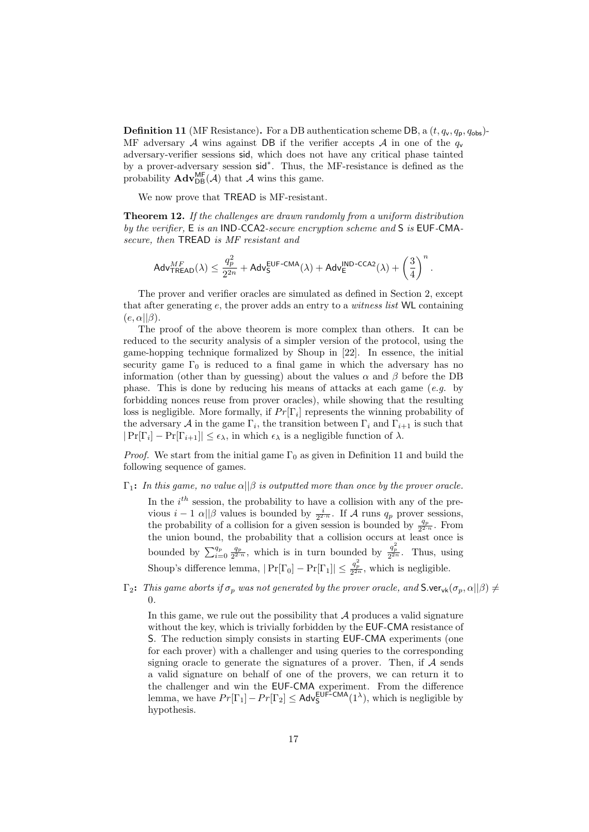**Definition 11** (MF Resistance). For a DB authentication scheme DB, a  $(t, q_v, q_p, q_{obs})$ -MF adversary A wins against DB if the verifier accepts A in one of the  $q_v$ adversary-verifier sessions sid, which does not have any critical phase tainted by a prover-adversary session sid<sup>∗</sup> . Thus, the MF-resistance is defined as the probability  $\mathbf{Adv}_{DB}^{\mathsf{MF}}(\mathcal{A})$  that  $\mathcal{A}$  wins this game.

We now prove that TREAD is MF-resistant.

**Theorem 12.** If the challenges are drawn randomly from a uniform distribution by the verifier, E is an IND-CCA2-secure encryption scheme and S is EUF-CMAsecure, then TREAD is MF resistant and

$$
\mathsf{Adv}_{\mathsf{TREAD}}^{MF}(\lambda) \leq \frac{q_p^2}{2^{2n}} + \mathsf{Adv}_{\mathsf{S}}^{\mathsf{EUF-CMA}}(\lambda) + \mathsf{Adv}_{\mathsf{E}}^{\mathsf{IND-CCA2}}(\lambda) + \left(\frac{3}{4}\right)^n.
$$

The prover and verifier oracles are simulated as defined in Section 2, except that after generating  $e$ , the prover adds an entry to a *witness list* WL containing  $(e, \alpha||\beta).$ 

The proof of the above theorem is more complex than others. It can be reduced to the security analysis of a simpler version of the protocol, using the game-hopping technique formalized by Shoup in [22]. In essence, the initial security game  $\Gamma_0$  is reduced to a final game in which the adversary has no information (other than by guessing) about the values  $\alpha$  and  $\beta$  before the DB phase. This is done by reducing his means of attacks at each game  $(e.g.$  by forbidding nonces reuse from prover oracles), while showing that the resulting loss is negligible. More formally, if  $Pr[\Gamma_i]$  represents the winning probability of the adversary A in the game  $\Gamma_i$ , the transition between  $\Gamma_i$  and  $\Gamma_{i+1}$  is such that  $|\Pr[\Gamma_i] - \Pr[\Gamma_{i+1}]| \leq \epsilon_{\lambda}$ , in which  $\epsilon_{\lambda}$  is a negligible function of  $\lambda$ .

*Proof.* We start from the initial game  $\Gamma_0$  as given in Definition 11 and build the following sequence of games.

 $\Gamma_1$ : In this game, no value  $\alpha||\beta$  is outputted more than once by the prover oracle.

In the  $i^{th}$  session, the probability to have a collision with any of the previous  $i-1$   $\alpha$ || $\beta$  values is bounded by  $\frac{i}{2^{2-n}}$ . If A runs  $q_p$  prover sessions, the probability of a collision for a given session is bounded by  $\frac{q_p}{2^{2-n}}$ . From the union bound, the probability that a collision occurs at least once is bounded by  $\sum_{i=0}^{q_p} \frac{q_p}{2^{2\cdot n}}$ , which is in turn bounded by  $\frac{q_p^2}{2^{2n}}$ . Thus, using Shoup's difference lemma,  $|\Pr[\Gamma_0] - \Pr[\Gamma_1]| \leq \frac{q_p^2}{2^{2n}}$ , which is negligible.

 $\Gamma_2$ : This game aborts if  $\sigma_p$  was not generated by the prover oracle, and  $\Gamma_{\text{v}}(G_p, \alpha||\beta) \neq 0$ 0.

In this game, we rule out the possibility that  $A$  produces a valid signature without the key, which is trivially forbidden by the EUF-CMA resistance of S. The reduction simply consists in starting EUF-CMA experiments (one for each prover) with a challenger and using queries to the corresponding signing oracle to generate the signatures of a prover. Then, if  $A$  sends a valid signature on behalf of one of the provers, we can return it to the challenger and win the EUF-CMA experiment. From the difference lemma, we have  $Pr[\Gamma_1] - Pr[\Gamma_2] \leq Adv_S^{EUF-CMA}(1^{\lambda})$ , which is negligible by hypothesis.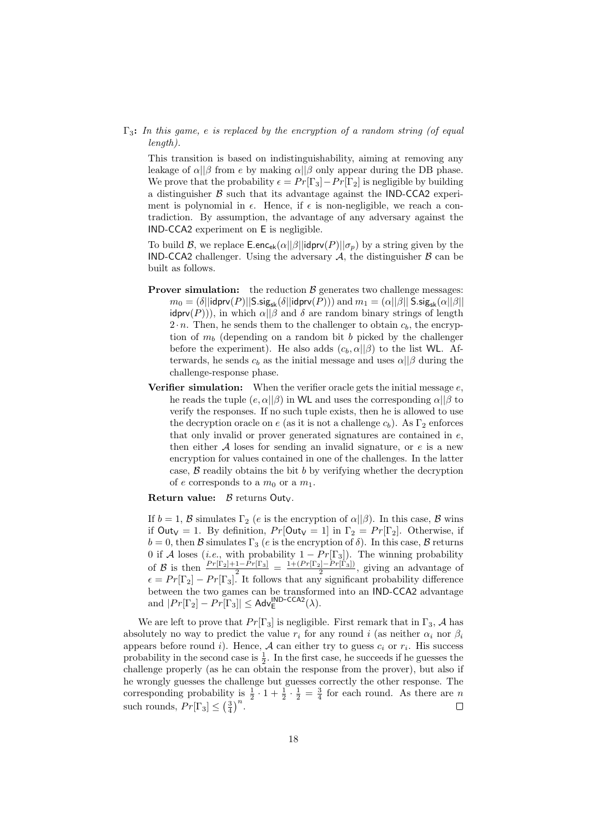$\Gamma_3$ : In this game, e is replaced by the encryption of a random string (of equal length).

This transition is based on indistinguishability, aiming at removing any leakage of  $\alpha||\beta$  from e by making  $\alpha||\beta$  only appear during the DB phase. We prove that the probability  $\epsilon = Pr[\Gamma_3] - Pr[\Gamma_2]$  is negligible by building a distinguisher  $\beta$  such that its advantage against the IND-CCA2 experiment is polynomial in  $\epsilon$ . Hence, if  $\epsilon$  is non-negligible, we reach a contradiction. By assumption, the advantage of any adversary against the IND-CCA2 experiment on E is negligible.

To build B, we replace  $\mathsf{E}.\mathsf{enc}_{ek}(\alpha||\beta||\mathsf{idprv}(P)||\sigma_p)$  by a string given by the IND-CCA2 challenger. Using the adversary  $A$ , the distinguisher  $B$  can be built as follows.

- **Prover simulation:** the reduction  $\beta$  generates two challenge messages:  $m_0 = (\delta || \mathsf{idprv}(P) || \mathsf{S}.\mathsf{sig}_{\mathsf{sk}}(\delta || \mathsf{idprv}(P)))$  and  $m_1 = (\alpha || \beta || \mathsf{S}.\mathsf{sig}_{\mathsf{sk}}(\alpha || \beta ||$  $\text{idprv}(P)$ ), in which  $\alpha||\beta$  and  $\delta$  are random binary strings of length  $2 \cdot n$ . Then, he sends them to the challenger to obtain  $c_b$ , the encryption of  $m_b$  (depending on a random bit b picked by the challenger before the experiment). He also adds  $(c_b, \alpha||\beta)$  to the list WL. Afterwards, he sends  $c_b$  as the initial message and uses  $\alpha||\beta$  during the challenge-response phase.
- **Verifier simulation:** When the verifier oracle gets the initial message  $e$ . he reads the tuple  $(e, \alpha||\beta)$  in WL and uses the corresponding  $\alpha||\beta$  to verify the responses. If no such tuple exists, then he is allowed to use the decryption oracle on e (as it is not a challenge  $c_b$ ). As  $\Gamma_2$  enforces that only invalid or prover generated signatures are contained in  $e$ , then either  $A$  loses for sending an invalid signature, or  $e$  is a new encryption for values contained in one of the challenges. In the latter case,  $\beta$  readily obtains the bit b by verifying whether the decryption of e corresponds to a  $m_0$  or a  $m_1$ .

Return value:  $\beta$  returns Out<sub>V</sub>.

If  $b = 1$ , B simulates  $\Gamma_2$  (e is the encryption of  $\alpha || \beta$ ). In this case, B wins if  $\text{Out}_V = 1$ . By definition,  $Pr[\text{Out}_V = 1]$  in  $\Gamma_2 = Pr[\Gamma_2]$ . Otherwise, if  $b = 0$ , then  $\mathcal B$  simulates  $\Gamma_3$  (*e* is the encryption of  $\delta$ ). In this case,  $\mathcal B$  returns 0 if A loses (*i.e.*, with probability  $1 - Pr[\Gamma_3]$ ). The winning probability of B is then  $\frac{Pr[\Gamma_2]+1-Pr[\Gamma_3]}{2} = \frac{1+(Pr[\Gamma_2]-Pr[\Gamma_3])}{2}$ , giving an advantage of  $\epsilon = Pr[\Gamma_2] - Pr[\Gamma_3]$ . It follows that any significant probability difference between the two games can be transformed into an IND-CCA2 advantage and  $|Pr[\Gamma_2] - Pr[\Gamma_3]| \leq Adv_{E}^{\text{IND-CCA2}}(\lambda)$ .

We are left to prove that  $Pr[\Gamma_3]$  is negligible. First remark that in  $\Gamma_3$ , A has absolutely no way to predict the value  $r_i$  for any round i (as neither  $\alpha_i$  nor  $\beta_i$ appears before round *i*). Hence,  $A$  can either try to guess  $c_i$  or  $r_i$ . His success probability in the second case is  $\frac{1}{2}$ . In the first case, he succeeds if he guesses the challenge properly (as he can obtain the response from the prover), but also if he wrongly guesses the challenge but guesses correctly the other response. The corresponding probability is  $\frac{1}{2} \cdot 1 + \frac{1}{2} \cdot \frac{1}{2} = \frac{3}{4}$  for each round. As there are *n* such rounds,  $Pr[\Gamma_3] \leq (\frac{3}{4})^n$ .  $\Box$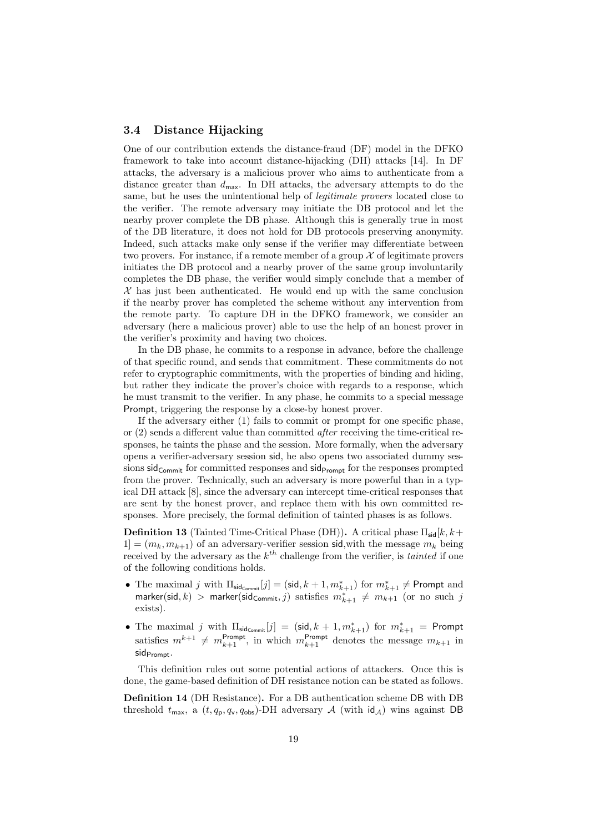### 3.4 Distance Hijacking

One of our contribution extends the distance-fraud (DF) model in the DFKO framework to take into account distance-hijacking (DH) attacks [14]. In DF attacks, the adversary is a malicious prover who aims to authenticate from a distance greater than  $d_{\text{max}}$ . In DH attacks, the adversary attempts to do the same, but he uses the unintentional help of legitimate provers located close to the verifier. The remote adversary may initiate the DB protocol and let the nearby prover complete the DB phase. Although this is generally true in most of the DB literature, it does not hold for DB protocols preserving anonymity. Indeed, such attacks make only sense if the verifier may differentiate between two provers. For instance, if a remote member of a group  $\mathcal X$  of legitimate provers initiates the DB protocol and a nearby prover of the same group involuntarily completes the DB phase, the verifier would simply conclude that a member of  $\mathcal X$  has just been authenticated. He would end up with the same conclusion if the nearby prover has completed the scheme without any intervention from the remote party. To capture DH in the DFKO framework, we consider an adversary (here a malicious prover) able to use the help of an honest prover in the verifier's proximity and having two choices.

In the DB phase, he commits to a response in advance, before the challenge of that specific round, and sends that commitment. These commitments do not refer to cryptographic commitments, with the properties of binding and hiding, but rather they indicate the prover's choice with regards to a response, which he must transmit to the verifier. In any phase, he commits to a special message Prompt, triggering the response by a close-by honest prover.

If the adversary either (1) fails to commit or prompt for one specific phase, or (2) sends a different value than committed after receiving the time-critical responses, he taints the phase and the session. More formally, when the adversary opens a verifier-adversary session sid, he also opens two associated dummy sessions  $sid_{Commit}$  for committed responses and  $sid_{Prompt}$  for the responses prompted from the prover. Technically, such an adversary is more powerful than in a typical DH attack [8], since the adversary can intercept time-critical responses that are sent by the honest prover, and replace them with his own committed responses. More precisely, the formal definition of tainted phases is as follows.

**Definition 13** (Tainted Time-Critical Phase (DH)). A critical phase  $\Pi_{\mathsf{sid}}[k, k+1]$  $1] = (m_k, m_{k+1})$  of an adversary-verifier session sid, with the message  $m_k$  being received by the adversary as the  $k^{th}$  challenge from the verifier, is *tainted* if one of the following conditions holds.

- The maximal j with  $\Pi_{\text{sid}_\text{Commit}}[j] = (\text{sid}, k+1, m_{k+1}^*)$  for  $m_{k+1}^* \neq \text{Prompt}$  and marker(sid, k) > marker(sid<sub>Commit</sub>, j) satisfies  $m_{k+1}^* \neq m_{k+1}$  (or no such j exists).
- The maximal j with  $\Pi_{\mathsf{sidCommit}}[j] = (\mathsf{sid}, k+1, m^*_{k+1})$  for  $m^*_{k+1} = \mathsf{Prompt}$ satisfies  $m^{k+1} \neq m_{k+1}^{\text{prompt}}$ , in which  $m_{k+1}^{\text{prompt}}$  denotes the message  $m_{k+1}$  in sid<sub>Prompt</sub>.

This definition rules out some potential actions of attackers. Once this is done, the game-based definition of DH resistance notion can be stated as follows.

Definition 14 (DH Resistance). For a DB authentication scheme DB with DB threshold  $t_{\text{max}}$ , a  $(t, q_{\text{p}}, q_{\text{v}}, q_{\text{obs}})$ -DH adversary  $A$  (with  $\mathsf{id}_A$ ) wins against DB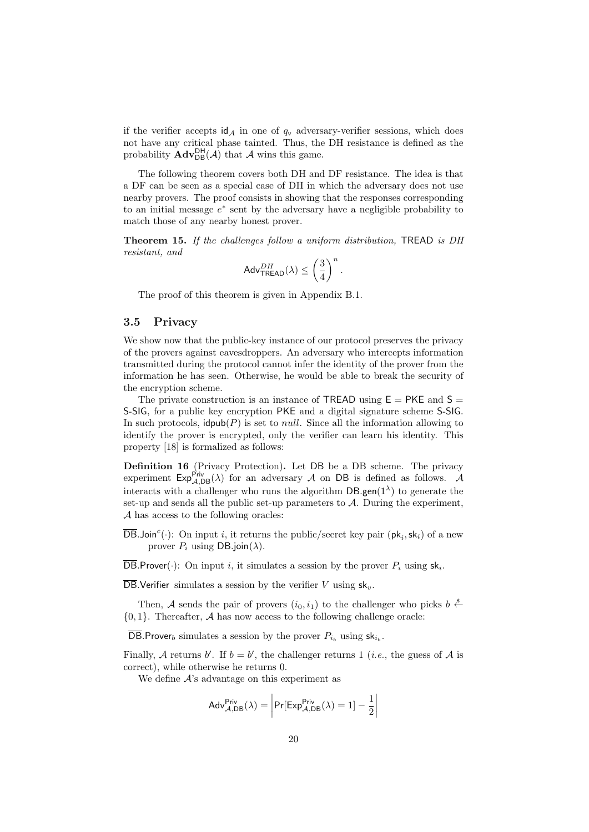if the verifier accepts  $\mathsf{id}_{\mathcal{A}}$  in one of  $q_v$  adversary-verifier sessions, which does not have any critical phase tainted. Thus, the DH resistance is defined as the probability  $\mathbf{Adv}_{DB}^{DH}(\mathcal{A})$  that  $\mathcal A$  wins this game.

The following theorem covers both DH and DF resistance. The idea is that a DF can be seen as a special case of DH in which the adversary does not use nearby provers. The proof consists in showing that the responses corresponding to an initial message  $e^*$  sent by the adversary have a negligible probability to match those of any nearby honest prover.

Theorem 15. If the challenges follow a uniform distribution, TREAD is DH resistant, and

$$
\mathsf{Adv}_{\mathsf{TREAD}}^{DH}(\lambda) \leq \left(\frac{3}{4}\right)^n.
$$

The proof of this theorem is given in Appendix B.1.

### 3.5 Privacy

We show now that the public-key instance of our protocol preserves the privacy of the provers against eavesdroppers. An adversary who intercepts information transmitted during the protocol cannot infer the identity of the prover from the information he has seen. Otherwise, he would be able to break the security of the encryption scheme.

The private construction is an instance of TREAD using  $E = PKE$  and  $S =$ S-SIG, for a public key encryption PKE and a digital signature scheme S-SIG. In such protocols,  $\text{dpub}(P)$  is set to *null*. Since all the information allowing to identify the prover is encrypted, only the verifier can learn his identity. This property [18] is formalized as follows:

Definition 16 (Privacy Protection). Let DB be a DB scheme. The privacy experiment  $Exp_{\mathcal{A},DB}^{Priv}(\lambda)$  for an adversary  $\mathcal A$  on DB is defined as follows.  $\mathcal A$ interacts with a challenger who runs the algorithm  $DB$ .gen( $1^{\lambda}$ ) to generate the set-up and sends all the public set-up parameters to  $A$ . During the experiment, A has access to the following oracles:

 $\overline{\mathsf{DB}}$ .Join<sup>c</sup>(.): On input *i*, it returns the public/secret key pair ( $\mathsf{pk}_i$ ,  $\mathsf{sk}_i$ ) of a new prover  $P_i$  using DB.join( $\lambda$ ).

DB.Prover( $\cdot$ ): On input *i*, it simulates a session by the prover  $P_i$  using  $sk_i$ .

 $\overline{DB}$ . Verifier simulates a session by the verifier V using  $sk_y$ .

Then, A sends the pair of provers  $(i_0, i_1)$  to the challenger who picks  $b \stackrel{\$}{\leftarrow}$  $\{0, 1\}$ . Thereafter, A has now access to the following challenge oracle:

DB. Prover<sub>b</sub> simulates a session by the prover  $P_{i_b}$  using  $\textsf{sk}_{i_b}$ .

Finally, A returns b'. If  $b = b'$ , the challenger returns 1 (*i.e.*, the guess of A is correct), while otherwise he returns 0.

We define  $A$ 's advantage on this experiment as

$$
Adv_{\mathcal{A},DB}^{Priv}(\lambda) = \left| Pr[Exp_{\mathcal{A},DB}^{Priv}(\lambda) = 1] - \frac{1}{2} \right|
$$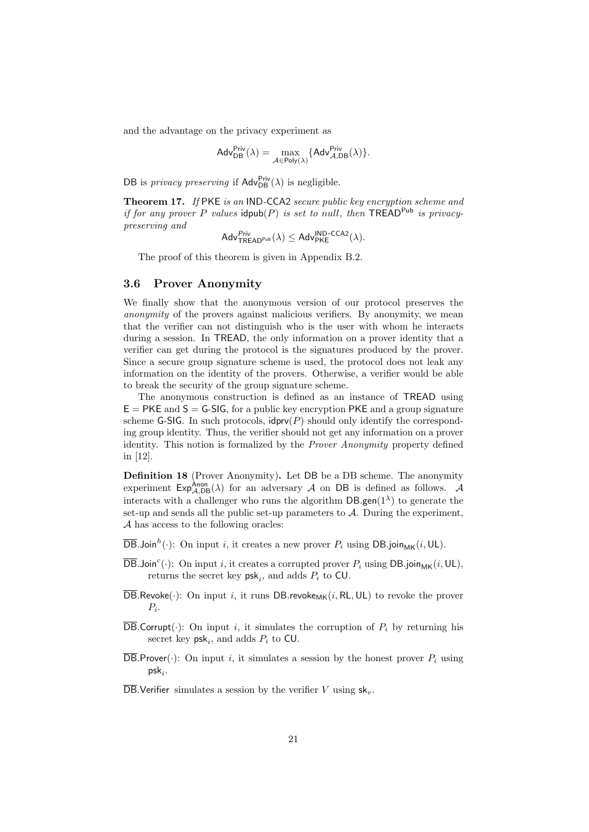and the advantage on the privacy experiment as

$$
\mathsf{Adv}_{\mathsf{DB}}^{\mathsf{Priv}}(\lambda) = \max_{\mathcal{A} \in \mathsf{Poly}(\lambda)} \{\mathsf{Adv}_{\mathcal{A},\mathsf{DB}}^{\mathsf{Priv}}(\lambda)\}.
$$

DB is *privacy preserving* if  $\mathsf{Adv}_{\mathsf{DB}}^{\mathsf{Priv}}(\lambda)$  is negligible.

Theorem 17. If PKE is an IND-CCA2 secure public key encryption scheme and if for any prover P values idpub(P) is set to null, then TREAD<sup>Pub</sup> is privacypreserving and

$$
\mathsf{Adv}_{\mathsf{TREAD}^{\mathsf{Priv}}}^{\mathsf{Priv}}(\lambda) \leq \mathsf{Adv}_{\mathsf{PKE}}^{\mathsf{IND}\text{-}\mathsf{CCA2}}(\lambda).
$$

The proof of this theorem is given in Appendix B.2.

#### 3.6 Prover Anonymity

We finally show that the anonymous version of our protocol preserves the anonymity of the provers against malicious verifiers. By anonymity, we mean that the verifier can not distinguish who is the user with whom he interacts during a session. In TREAD, the only information on a prover identity that a verifier can get during the protocol is the signatures produced by the prover. Since a secure group signature scheme is used, the protocol does not leak any information on the identity of the provers. Otherwise, a verifier would be able to break the security of the group signature scheme.

The anonymous construction is defined as an instance of TREAD using  $E = PKE$  and  $S = G-SIG$ , for a public key encryption PKE and a group signature scheme G-SIG. In such protocols,  $\text{idprv}(P)$  should only identify the corresponding group identity. Thus, the verifier should not get any information on a prover identity. This notion is formalized by the Prover Anonymity property defined in [12].

Definition 18 (Prover Anonymity). Let DB be a DB scheme. The anonymity experiment  $Exp_{A,DB}^{A non}(\lambda)$  for an adversary A on DB is defined as follows. A interacts with a challenger who runs the algorithm  $DB$ .gen( $1^{\lambda}$ ) to generate the set-up and sends all the public set-up parameters to  $A$ . During the experiment, A has access to the following oracles:

 $\overline{\mathsf{DB}}$ .Join<sup>h</sup>(.): On input *i*, it creates a new prover  $P_i$  using  $\mathsf{DB}.$  join<sub>MK</sub> $(i, \mathsf{UL})$ .

- $\overline{\mathsf{DB}}$ .Join<sup>c</sup>(.): On input *i*, it creates a corrupted prover  $P_i$  using  $\mathsf{DB}.$  join<sub>MK</sub> $(i, \mathsf{UL})$ , returns the secret key  $psk_i$ , and adds  $P_i$  to CU.
- $\overline{\text{DB}.\text{Revoke}}(\cdot)$ : On input i, it runs DB.revoke<sub>MK</sub> $(i, \text{RL}, \text{UL})$  to revoke the prover  $P_i$ .
- $\overline{\text{DB}}$ . Corrupt( $\cdot$ ): On input *i*, it simulates the corruption of  $P_i$  by returning his secret key  $psk_i$ , and adds  $P_i$  to CU.
- $\overline{\text{DB}}$ . Prover( $\cdot$ ): On input i, it simulates a session by the honest prover  $P_i$  using  $\mathsf{psk}_i$ .

 $\overline{DB}$ . Verifier simulates a session by the verifier V using  $\mathsf{sk}_v$ .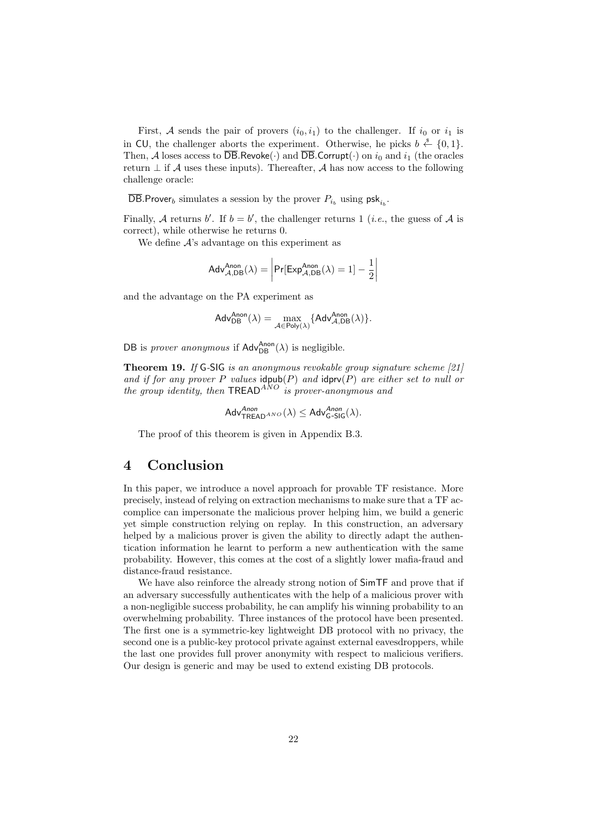First, A sends the pair of provers  $(i_0, i_1)$  to the challenger. If  $i_0$  or  $i_1$  is in CU, the challenger aborts the experiment. Otherwise, he picks  $b \stackrel{\$}{\leftarrow} \{0,1\}$ . Then, A loses access to  $\overline{\text{DB}}$ .Revoke( $\cdot$ ) and  $\overline{\text{DB}}$ .Corrupt( $\cdot$ ) on  $i_0$  and  $i_1$  (the oracles return  $\perp$  if A uses these inputs). Thereafter, A has now access to the following challenge oracle:

DB.Prover<sub>b</sub> simulates a session by the prover  $P_{i_b}$  using  $psk_{i_b}$ .

Finally, A returns b'. If  $b = b'$ , the challenger returns 1 (*i.e.*, the guess of A is correct), while otherwise he returns 0.

We define  $A$ 's advantage on this experiment as

$$
Adv_{\mathcal{A},DB}^{Anon}(\lambda) = \left| Pr[Exp_{\mathcal{A},DB}^{Anon}(\lambda) = 1] - \frac{1}{2} \right|
$$

and the advantage on the PA experiment as

$$
\mathsf{Adv}_{\mathsf{DB}}^{\mathsf{Anon}}(\lambda) = \max_{\mathcal{A} \in \mathsf{Poly}(\lambda)} \{\mathsf{Adv}_{\mathcal{A},\mathsf{DB}}^{\mathsf{Anon}}(\lambda)\}.
$$

DB is *prover anonymous* if  $\mathsf{Adv}_{\mathsf{DB}}^{\mathsf{Anon}}(\lambda)$  is negligible.

Theorem 19. If G-SIG is an anonymous revokable group signature scheme [21] and if for any prover P values  $\text{idpub}(P)$  and  $\text{idprv}(P)$  are either set to null or the group identity, then  $TREAD<sup>ANO</sup>$  is prover-anonymous and

$$
\mathsf{Adv}^{Anon}_{\mathsf{TREAD}^{ANO}}(\lambda) \leq \mathsf{Adv}^{Anon}_{\mathsf{G-SIG}}(\lambda).
$$

The proof of this theorem is given in Appendix B.3.

## 4 Conclusion

In this paper, we introduce a novel approach for provable TF resistance. More precisely, instead of relying on extraction mechanisms to make sure that a TF accomplice can impersonate the malicious prover helping him, we build a generic yet simple construction relying on replay. In this construction, an adversary helped by a malicious prover is given the ability to directly adapt the authentication information he learnt to perform a new authentication with the same probability. However, this comes at the cost of a slightly lower mafia-fraud and distance-fraud resistance.

We have also reinforce the already strong notion of  $SimTF$  and prove that if an adversary successfully authenticates with the help of a malicious prover with a non-negligible success probability, he can amplify his winning probability to an overwhelming probability. Three instances of the protocol have been presented. The first one is a symmetric-key lightweight DB protocol with no privacy, the second one is a public-key protocol private against external eavesdroppers, while the last one provides full prover anonymity with respect to malicious verifiers. Our design is generic and may be used to extend existing DB protocols.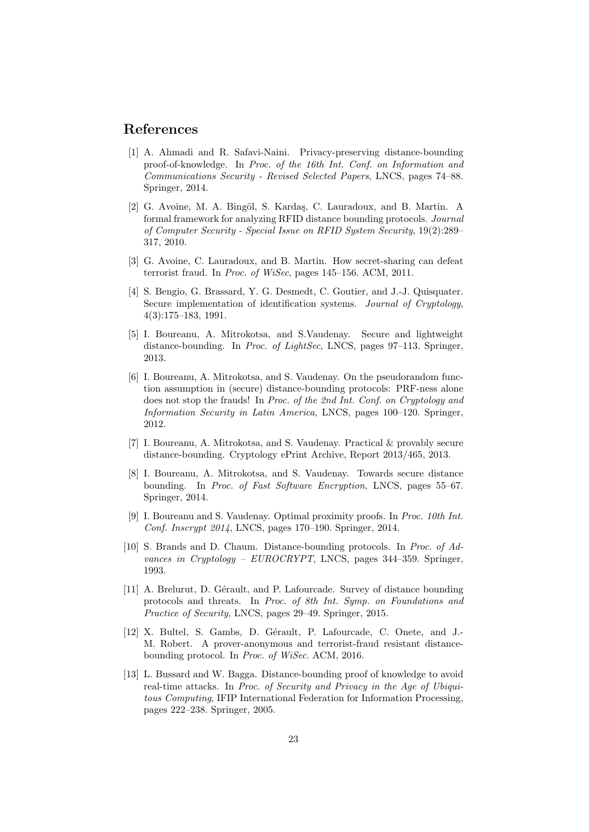## References

- [1] A. Ahmadi and R. Safavi-Naini. Privacy-preserving distance-bounding proof-of-knowledge. In Proc. of the 16th Int. Conf. on Information and Communications Security - Revised Selected Papers, LNCS, pages 74–88. Springer, 2014.
- [2] G. Avoine, M. A. Bingöl, S. Kardaş, C. Lauradoux, and B. Martin. A formal framework for analyzing RFID distance bounding protocols. Journal of Computer Security - Special Issue on RFID System Security, 19(2):289– 317, 2010.
- [3] G. Avoine, C. Lauradoux, and B. Martin. How secret-sharing can defeat terrorist fraud. In Proc. of WiSec, pages 145–156. ACM, 2011.
- [4] S. Bengio, G. Brassard, Y. G. Desmedt, C. Goutier, and J.-J. Quisquater. Secure implementation of identification systems. Journal of Cryptology, 4(3):175–183, 1991.
- [5] I. Boureanu, A. Mitrokotsa, and S.Vaudenay. Secure and lightweight distance-bounding. In Proc. of LightSec, LNCS, pages 97–113. Springer, 2013.
- [6] I. Boureanu, A. Mitrokotsa, and S. Vaudenay. On the pseudorandom function assumption in (secure) distance-bounding protocols: PRF-ness alone does not stop the frauds! In Proc. of the 2nd Int. Conf. on Cryptology and Information Security in Latin America, LNCS, pages 100–120. Springer, 2012.
- [7] I. Boureanu, A. Mitrokotsa, and S. Vaudenay. Practical & provably secure distance-bounding. Cryptology ePrint Archive, Report 2013/465, 2013.
- [8] I. Boureanu, A. Mitrokotsa, and S. Vaudenay. Towards secure distance bounding. In Proc. of Fast Software Encryption, LNCS, pages 55–67. Springer, 2014.
- [9] I. Boureanu and S. Vaudenay. Optimal proximity proofs. In Proc. 10th Int. Conf. Inscrypt 2014, LNCS, pages 170–190. Springer, 2014.
- [10] S. Brands and D. Chaum. Distance-bounding protocols. In Proc. of Advances in Cryptology –  $EUROCRYPT$ , LNCS, pages 344–359. Springer, 1993.
- [11] A. Brelurut, D. Gérault, and P. Lafourcade. Survey of distance bounding protocols and threats. In Proc. of 8th Int. Symp. on Foundations and Practice of Security, LNCS, pages 29–49. Springer, 2015.
- [12] X. Bultel, S. Gambs, D. Gérault, P. Lafourcade, C. Onete, and J.-M. Robert. A prover-anonymous and terrorist-fraud resistant distancebounding protocol. In Proc. of WiSec. ACM, 2016.
- [13] L. Bussard and W. Bagga. Distance-bounding proof of knowledge to avoid real-time attacks. In Proc. of Security and Privacy in the Age of Ubiquitous Computing, IFIP International Federation for Information Processing, pages 222–238. Springer, 2005.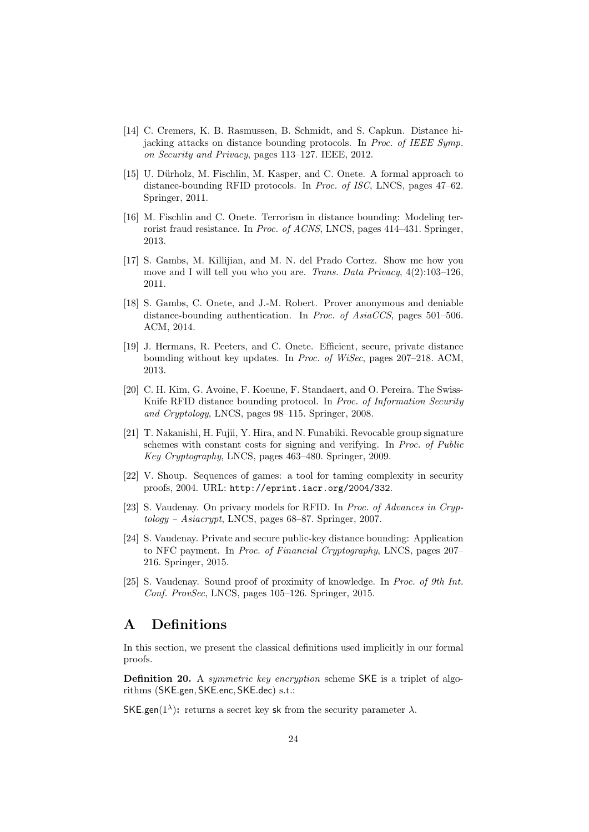- [14] C. Cremers, K. B. Rasmussen, B. Schmidt, and S. Capkun. Distance hijacking attacks on distance bounding protocols. In Proc. of IEEE Symp. on Security and Privacy, pages 113–127. IEEE, 2012.
- [15] U. Dürholz, M. Fischlin, M. Kasper, and C. Onete. A formal approach to distance-bounding RFID protocols. In Proc. of ISC, LNCS, pages 47–62. Springer, 2011.
- [16] M. Fischlin and C. Onete. Terrorism in distance bounding: Modeling terrorist fraud resistance. In Proc. of ACNS, LNCS, pages 414–431. Springer, 2013.
- [17] S. Gambs, M. Killijian, and M. N. del Prado Cortez. Show me how you move and I will tell you who you are. Trans. Data Privacy, 4(2):103–126, 2011.
- [18] S. Gambs, C. Onete, and J.-M. Robert. Prover anonymous and deniable distance-bounding authentication. In Proc. of AsiaCCS, pages 501–506. ACM, 2014.
- [19] J. Hermans, R. Peeters, and C. Onete. Efficient, secure, private distance bounding without key updates. In Proc. of WiSec, pages 207–218. ACM, 2013.
- [20] C. H. Kim, G. Avoine, F. Koeune, F. Standaert, and O. Pereira. The Swiss-Knife RFID distance bounding protocol. In *Proc. of Information Security* and Cryptology, LNCS, pages 98–115. Springer, 2008.
- [21] T. Nakanishi, H. Fujii, Y. Hira, and N. Funabiki. Revocable group signature schemes with constant costs for signing and verifying. In Proc. of Public Key Cryptography, LNCS, pages 463–480. Springer, 2009.
- [22] V. Shoup. Sequences of games: a tool for taming complexity in security proofs, 2004. URL: http://eprint.iacr.org/2004/332.
- [23] S. Vaudenay. On privacy models for RFID. In Proc. of Advances in Cryptology – Asiacrypt, LNCS, pages 68–87. Springer, 2007.
- [24] S. Vaudenay. Private and secure public-key distance bounding: Application to NFC payment. In Proc. of Financial Cryptography, LNCS, pages 207– 216. Springer, 2015.
- [25] S. Vaudenay. Sound proof of proximity of knowledge. In Proc. of 9th Int. Conf. ProvSec, LNCS, pages 105–126. Springer, 2015.

# A Definitions

In this section, we present the classical definitions used implicitly in our formal proofs.

Definition 20. A *symmetric key encryption* scheme SKE is a triplet of algorithms (SKE.gen, SKE.enc, SKE.dec) s.t.:

SKE.gen( $1^{\lambda}$ ): returns a secret key sk from the security parameter  $\lambda$ .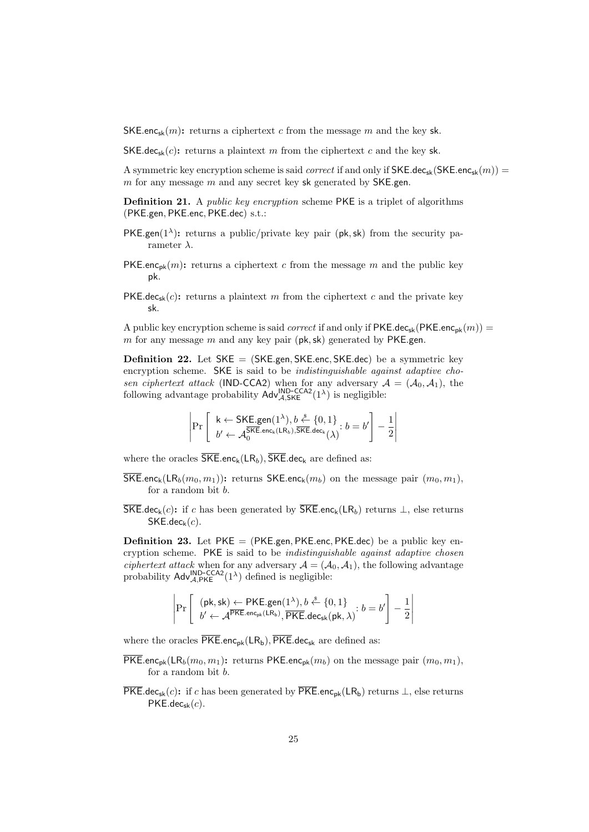SKE.enc<sub>sk</sub> $(m)$ : returns a ciphertext c from the message m and the key sk.

SKE.dec<sub>sk</sub> $(c)$ : returns a plaintext m from the ciphertext c and the key sk.

A symmetric key encryption scheme is said *correct* if and only if  $SKE-dec_{sk}(SKE.enc_{sk}(m)) =$  $m$  for any message  $m$  and any secret key sk generated by SKE.gen.

**Definition 21.** A *public key encryption* scheme PKE is a triplet of algorithms (PKE.gen, PKE.enc, PKE.dec) s.t.:

- PKE.gen( $1^{\lambda}$ ): returns a public/private key pair (pk, sk) from the security parameter  $\lambda$ .
- **PKE.enc**<sub>pk</sub> $(m)$ : returns a ciphertext c from the message m and the public key pk.
- PKE.dec<sub>sk</sub> $(c)$ : returns a plaintext m from the ciphertext c and the private key sk.

A public key encryption scheme is said *correct* if and only if  $PKE.dec_{sk}(PKE.enc_{pk}(m)) =$ m for any message  $m$  and any key pair ( $pk, sk$ ) generated by PKE.gen.

**Definition 22.** Let  $SKE = (SKE,gen, SKE,enc, SKE,dec)$  be a symmetric key encryption scheme. SKE is said to be *indistinguishable against adaptive cho*sen ciphertext attack (IND-CCA2) when for any adversary  $A = (A_0, A_1)$ , the following advantage probability  $\mathsf{Adv}^{\mathsf{IND-CCA2}}_{\mathcal{A},\mathsf{SKE}}(1^{\lambda})$  is negligible:

$$
\left|\Pr\left[\begin{array}{l} \mathsf{k} \leftarrow \mathsf{SKE}.\mathsf{gen}(1^{\lambda}), b \stackrel{\$}{\leftarrow} \{0, 1\}\\ b' \leftarrow \mathcal{A}_0^{\overline{\mathsf{SKE}}.\mathsf{enc}_{\mathsf{k}}(\mathsf{LR}_b), \overline{\mathsf{SKE}}.\mathsf{dec}_{\mathsf{k}}(\lambda)}; b = b' \right] - \frac{1}{2} \right|\right.
$$

where the oracles  $\overline{\mathsf{SKE}}$ .enc<sub>k</sub>(LR<sub>b</sub>),  $\overline{\mathsf{SKE}}$ .dec<sub>k</sub> are defined as:

- $\overline{\mathsf{SKE}}$ .enc<sub>k</sub>(LR<sub>b</sub>(m<sub>0</sub>, m<sub>1</sub>)): returns  $\mathsf{SKE}$ .enc<sub>k</sub>(m<sub>b</sub>) on the message pair  $(m_0, m_1)$ , for a random bit b.
- $\overline{\mathsf{SKE}}$ .dec<sub>k</sub>(c): if c has been generated by  $\overline{\mathsf{SKE}}$ .enc<sub>k</sub>(LR<sub>b</sub>) returns  $\perp$ , else returns  $SKE.$ dec<sub>k</sub> $(c)$ .

**Definition 23.** Let  $PKE = (PKE,gen, PKE,enc, PKE,dec)$  be a public key encryption scheme. PKE is said to be *indistinguishable against adaptive chosen* ciphertext attack when for any adversary  $A = (A_0, A_1)$ , the following advantage probability  $\mathsf{Adv}_{\mathcal{A},\mathsf{PKE}}^{\mathsf{IND-CCA2}}(1^{\lambda})$  defined is negligible:

$$
\left|\Pr\left[\begin{array}{l}(\mathsf{pk},\mathsf{sk})\leftarrow \mathsf{PKE}.\mathsf{gen}(1^{\lambda}), b\stackrel{\hspace{0.1em}\mathsf{\scriptscriptstyle\$}}{\leftarrow}\{0,1\}\\b^{\prime}\leftarrow \mathcal{A}^{\overline{\mathsf{PKE}}.\mathsf{enc}_{\mathsf{pk}}(\mathsf{LR}_{\mathsf{b}})}, \overline{\mathsf{PKE}}.\mathsf{dec}_{\mathsf{sk}}(\mathsf{pk},\lambda)^{\text{:}}}\right. b=b^{\prime}\right]-\frac{1}{2}\right|\end{array}\right|
$$

where the oracles  $\overline{\mathsf{PKE}}$ .enc<sub>pk</sub>(LR<sub>b</sub>),  $\overline{\mathsf{PKE}}$ .dec<sub>sk</sub> are defined as:

- $\overline{\textsf{PKE}}$ .enc<sub>pk</sub>(LR<sub>b</sub>(m<sub>0</sub>, m<sub>1</sub>): returns PKE.enc<sub>pk</sub>(m<sub>b</sub>) on the message pair (m<sub>0</sub>, m<sub>1</sub>), for a random bit b.
- $\overline{\mathsf{PKE}}.\mathsf{dec}_{\mathsf{sk}}(c)$ : if c has been generated by  $\overline{\mathsf{PKE}}.\mathsf{enc}_{\mathsf{pk}}(\mathsf{LR}_{\mathsf{b}})$  returns  $\perp$ , else returns  $PKE.dec_{sk}(c)$ .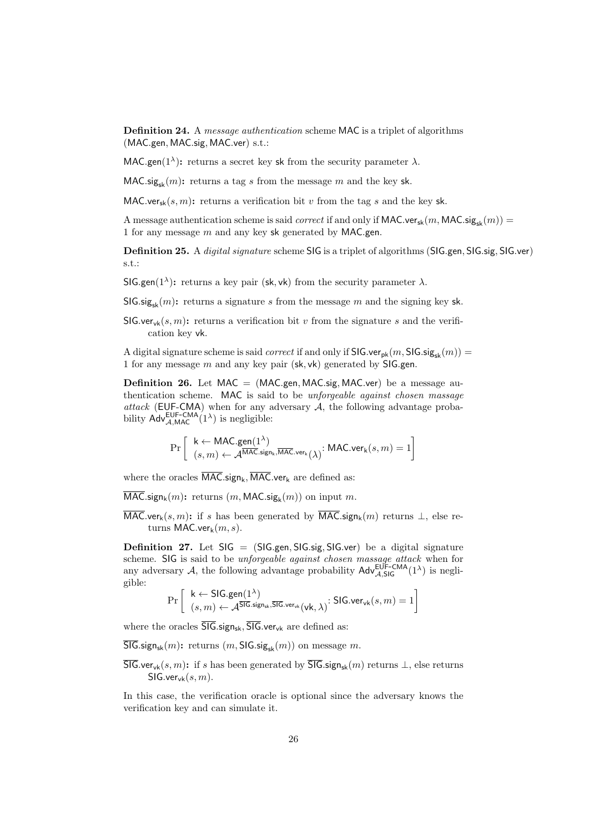Definition 24. A message authentication scheme MAC is a triplet of algorithms (MAC.gen, MAC.sig, MAC.ver) s.t.:

MAC.gen( $1^{\lambda}$ ): returns a secret key sk from the security parameter  $\lambda$ .

 $MAC.size_{sk}(m)$ : returns a tag s from the message m and the key sk.

MAC.ver<sub>sk</sub> $(s, m)$ : returns a verification bit v from the tag s and the key sk.

A message authentication scheme is said *correct* if and only if MAC.ver<sub>sk</sub> $(m, MAC, sig_{sk}(m)) =$ 1 for any message  $m$  and any key sk generated by MAC.gen.

Definition 25. A *digital signature scheme* SIG is a triplet of algorithms (SIG.gen, SIG.sig, SIG.ver) s.t.:

SIG.gen( $1^{\lambda}$ ): returns a key pair (sk, vk) from the security parameter  $\lambda$ .

 $\mathsf{SIG}.\mathsf{sig}_{\mathsf{sk}}(m)$ : returns a signature s from the message m and the signing key sk.

SIG.ver<sub>vk</sub> $(s, m)$ : returns a verification bit v from the signature s and the verification key vk.

A digital signature scheme is said *correct* if and only if  $\textsf{SIG}.\textsf{ver}_{\textsf{pk}}(m, \textsf{SIG}.\textsf{sig}_{\textsf{sk}}(m)) =$ 1 for any message  $m$  and any key pair (sk, vk) generated by SIG.gen.

**Definition 26.** Let  $MAC = (MAC, gen, MAC, sig, MAC, ver)$  be a message authentication scheme. MAC is said to be *unforgeable against chosen massage* attack (EUF-CMA) when for any adversary  $A$ , the following advantage probability  $Adv_{A, MAC}^{\text{EUF-CMA}}(1^{\lambda})$  is negligible:

$$
\Pr\left[\begin{array}{l} \mathsf{k} \leftarrow \mathsf{MAC}.\mathsf{gen}(1^\lambda) \\ (s, m) \leftarrow \mathcal{A}^{\overline{\mathsf{MAC}}.\mathsf{sign}_\mathsf{k},\overline{\mathsf{MAC}}.\mathsf{ver}_\mathsf{k}}(\lambda) \end{array}\right] \mathsf{MAC}.\mathsf{ver}_\mathsf{k}(s,m) = 1\right]
$$

where the oracles  $\overline{\text{MAC}}$ .sign<sub>k</sub>,  $\overline{\text{MAC}}$ .ver<sub>k</sub> are defined as:

 $\mathsf{MAC}.\mathsf{sign}_{\mathsf{k}}(m)$ : returns  $(m, \mathsf{MAC}.\mathsf{sig}_{\mathsf{k}}(m))$  on input  $m$ .

 $\overline{\text{MAC}}.\text{very}(s, m):$  if s has been generated by  $\overline{\text{MAC}}.\text{sign}_k(m)$  returns  $\perp$ , else returns MAC.ver $_k(m, s)$ .

**Definition 27.** Let  $SIG = (SIGgen, SIG.size, SIGvere)$  be a digital signature scheme. SIG is said to be *unforgeable against chosen massage attack* when for any adversary  $A$ , the following advantage probability  $\text{Adv}_{A, \text{SIG}}^{\text{EUF-CMA}}(1^{\lambda})$  is negligible:

$$
\Pr\left[\begin{array}{l} \mathsf{k} \leftarrow \mathsf{SIG}.\mathsf{gen}(1^\lambda) \\ (s, m) \leftarrow \mathcal{A}^{\overline{\mathsf{SIG}}.\mathsf{sign}_{\mathsf{sk}},\overline{\mathsf{SIG}}.\mathsf{ver}_{\mathsf{vk}}(\mathsf{vk}, \lambda)} \rightcolon \mathsf{SIG}.\mathsf{ver}_{\mathsf{vk}}(s, m) = 1 \right]
$$

where the oracles  $\overline{\overline{\mathsf{SIG}}}.$  sign<sub>sk</sub>,  $\overline{\mathsf{SIG}}.$  ver<sub>vk</sub> are defined as:

 $\overline{\mathsf{SIG}}$ .sign<sub>sk</sub> $(m)$ : returns  $(m, \mathsf{SIG}$ .sig<sub>sk</sub> $(m))$  on message m.

 $\overline{\mathsf{SIG}}$ .ver<sub>vk</sub> $(s, m)$ : if s has been generated by  $\overline{\mathsf{SIG}}$ .sign<sub>sk</sub> $(m)$  returns  $\perp$ , else returns  $SIG.ver_{<sub>vk</sub>}(s, m)$ .

In this case, the verification oracle is optional since the adversary knows the verification key and can simulate it.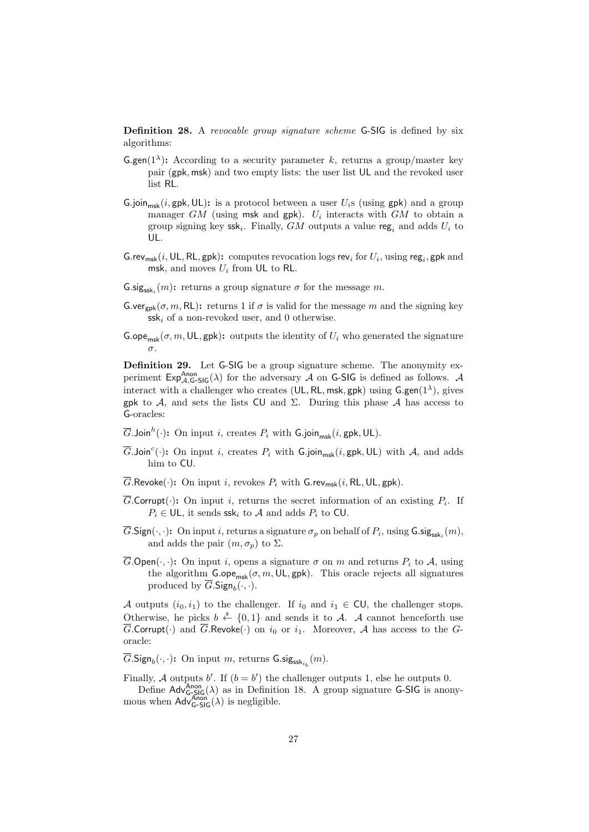Definition 28. A revocable group signature scheme G-SIG is defined by six algorithms:

- **G.gen**(1<sup> $\lambda$ </sup>): According to a security parameter k, returns a group/master key pair (gpk, msk) and two empty lists: the user list UL and the revoked user list RL.
- G.join<sub>msk</sub>(i, gpk, UL): is a protocol between a user  $U_i$ s (using gpk) and a group manager  $GM$  (using msk and gpk).  $U_i$  interacts with  $GM$  to obtain a group signing key  $\textsf{ssk}_i$ . Finally,  $GM$  outputs a value reg<sub>i</sub> and adds  $U_i$  to UL.
- G.rev<sub>msk</sub>(*i*, UL, RL, gpk): computes revocation logs rev<sub>i</sub> for  $U_i$ , using reg<sub>i</sub>, gpk and msk, and moves  $U_i$  from UL to RL.
- $\mathsf{G}.\mathsf{sig}_{\mathsf{ssk}_i}(m)$ : returns a group signature  $\sigma$  for the message m.
- **G.ver**<sub>gpk</sub>( $\sigma$ ,  $m$ , RL): returns 1 if  $\sigma$  is valid for the message m and the signing key  $ssk_i$  of a non-revoked user, and 0 otherwise.
- G.ope<sub>msk</sub>( $\sigma$ ,  $m$ , UL, gpk): outputs the identity of  $U_i$  who generated the signature σ.

Definition 29. Let G-SIG be a group signature scheme. The anonymity experiment  $Exp_{A,G-SIG}^{Anon}(\lambda)$  for the adversary A on G-SIG is defined as follows. A interact with a challenger who creates (UL, RL, msk, gpk) using  $G_{\text{gen}}(1^{\lambda})$ , gives gpk to A, and sets the lists CU and  $\Sigma$ . During this phase A has access to G-oracles:

- $\overline{G}$ .Join ${}^h(\cdot)$ : On input  $i,$  creates  $P_i$  with  $\mathsf{G}$ .join $_{\mathsf{msk}}(i,\mathsf{gpk},\mathsf{UL}).$
- $\overline{G}$ .Join<sup>c</sup>(·): On input *i*, creates  $P_i$  with G.join<sub>msk</sub>(*i*, gpk, UL) with A, and adds him to CU.
- $\overline{G}$ .Revoke(·): On input *i*, revokes  $P_i$  with G.rev<sub>msk</sub>(*i*, RL, UL, gpk).
- $\overline{G}$ . Corrupt( $\cdot$ ): On input *i*, returns the secret information of an existing  $P_i$ . If  $P_i \in \mathsf{UL}$ , it sends ssk<sub>i</sub> to A and adds  $P_i$  to CU.
- $G.\mathsf{Sign}(\cdot,\cdot)$ : On input i, returns a signature  $\sigma_p$  on behalf of  $P_i$ , using  $\mathsf{G}.\mathsf{sig}_{\mathsf{ssk}_i}(m)$ , and adds the pair  $(m, \sigma_p)$  to  $\Sigma$ .
- $\overline{G}$ . Open $(\cdot, \cdot)$ : On input i, opens a signature  $\sigma$  on m and returns  $P_i$  to A, using the algorithm  $\mathsf{G}.\mathsf{ope}_{\mathsf{msk}}(\sigma,m,\mathsf{UL},\mathsf{gpk})$ . This oracle rejects all signatures produced by  $G.\mathsf{Sign}_b(\cdot, \cdot)$ .

A outputs  $(i_0, i_1)$  to the challenger. If  $i_0$  and  $i_1 \in \text{CU}$ , the challenger stops. Otherwise, he picks  $b \stackrel{\$}{\leftarrow} \{0,1\}$  and sends it to A. A cannot henceforth use  $\overline{G}$ .Corrupt( $\cdot$ ) and  $\overline{G}$ .Revoke( $\cdot$ ) on  $i_0$  or  $i_1$ . Moreover, A has access to the Goracle:

 $\overline{G}$ .Sign<sub>b</sub>(·,·): On input m, returns  $\mathsf{G}.\mathsf{sig}_{\mathsf{ssk}_{i_b}}(m)$ .

Finally, A outputs b'. If  $(b = b')$  the challenger outputs 1, else he outputs 0. Define  $\mathsf{Adv}_{G\text{-}SIG}^{\text{Anon}}(\lambda)$  as in Definition 18. A group signature G-SIG is anonymous when  $\mathsf{Adv}_{\mathsf{G-SIG}}^{\mathsf{Anon}}(\lambda)$  is negligible.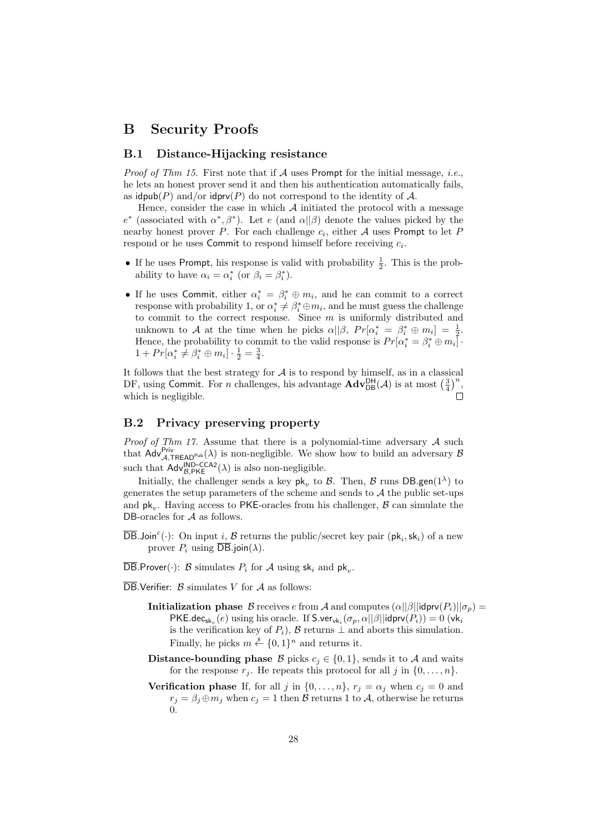## B Security Proofs

### B.1 Distance-Hijacking resistance

*Proof of Thm 15.* First note that if  $A$  uses Prompt for the initial message, *i.e.*, he lets an honest prover send it and then his authentication automatically fails, as idpub(P) and/or idprv(P) do not correspond to the identity of A.

Hence, consider the case in which  $A$  initiated the protocol with a message  $e^*$  (associated with  $\alpha^*, \beta^*$ ). Let e (and  $\alpha||\beta$ ) denote the values picked by the nearby honest prover P. For each challenge  $c_i$ , either A uses Prompt to let F respond or he uses Commit to respond himself before receiving  $c_i$ .

- If he uses Prompt, his response is valid with probability  $\frac{1}{2}$ . This is the probability to have  $\alpha_i = \alpha_i^*$  (or  $\beta_i = \beta_i^*$ ).
- If he uses Commit, either  $\alpha_i^* = \beta_i^* \oplus m_i$ , and he can commit to a correct response with probability 1, or  $\alpha_i^* \neq \beta_i^* \oplus m_i$ , and he must guess the challenge to commit to the correct response. Since  $m$  is uniformly distributed and unknown to A at the time when he picks  $\alpha||\beta$ ,  $Pr[\alpha_i^* = \beta_i^* \oplus m_i] = \frac{1}{2}$ . Hence, the probability to commit to the valid response is  $Pr[\alpha_i^* = \beta_i^* \oplus m_i]$ .  $1 + Pr[\alpha_i^* \neq \beta_i^* \oplus m_i] \cdot \frac{1}{2} = \frac{3}{4}.$

It follows that the best strategy for  $A$  is to respond by himself, as in a classical DF, using Commit. For *n* challenges, his advantage  $\mathbf{Adv}_{\mathsf{DB}}^{\mathsf{DH}}(\mathcal{A})$  is at most  $\left(\frac{3}{4}\right)^n$ , which is negligible. Г

## B.2 Privacy preserving property

*Proof of Thm 17.* Assume that there is a polynomial-time adversary  $A$  such that  $Adv_{\mathcal{A},TREAD^{Pub}}^{Priv}(\lambda)$  is non-negligible. We show how to build an adversary B such that  $\text{Adv}_{B,\text{PKE}}^{\text{IND-CCA2}}(\lambda)$  is also non-negligible.

Initially, the challenger sends a key  $\mathsf{pk}_v$  to  $\mathcal{B}$ . Then,  $\mathcal{B}$  runs  $\mathsf{DB}.\mathsf{gen}(1^\lambda)$  to generates the setup parameters of the scheme and sends to  $A$  the public set-ups and  $pk_v$ . Having access to PKE-oracles from his challenger,  $\beta$  can simulate the DB-oracles for  $A$  as follows.

- $\overline{\mathsf{DB}}$ .Join<sup>c</sup>(.): On input *i*,  $\mathcal B$  returns the public/secret key pair ( $\mathsf{pk}_i$ ,  $\mathsf{sk}_i$ ) of a new prover  $P_i$  using  $\overline{DB}$ .join( $\lambda$ ).
- DB.Prover( $\cdot$ ): B simulates  $P_i$  for A using  $sk_i$  and  $pk_v$ .
- $\overline{\text{DB}}$ . Verifier:  $\beta$  simulates V for A as follows:
	- **Initialization phase** B receives e from A and computes  $(\alpha||\beta||)$ **idprv** $(P_i)||\sigma_p)$  = PKE.dec<sub>sk<sub>v</sub></sub> $(e)$  using his oracle. If S.ver<sub>vki</sub> $(\sigma_p, \alpha || \beta ||$ idprv $(P_i)) = 0$  (vk<sub>i</sub> is the verification key of  $P_i$ ),  $\beta$  returns  $\bot$  and aborts this simulation. Finally, he picks  $m \stackrel{\$}{\leftarrow} \{0,1\}^n$  and returns it.
	- Distance-bounding phase B picks  $c_i \in \{0, 1\}$ , sends it to A and waits for the response  $r_j$ . He repeats this protocol for all j in  $\{0, \ldots, n\}$ .
	- **Verification phase** If, for all j in  $\{0, \ldots, n\}$ ,  $r_j = \alpha_j$  when  $c_j = 0$  and  $r_j = \beta_j \oplus m_j$  when  $c_j = 1$  then  $\mathcal B$  returns 1 to  $\mathcal A$ , otherwise he returns 0.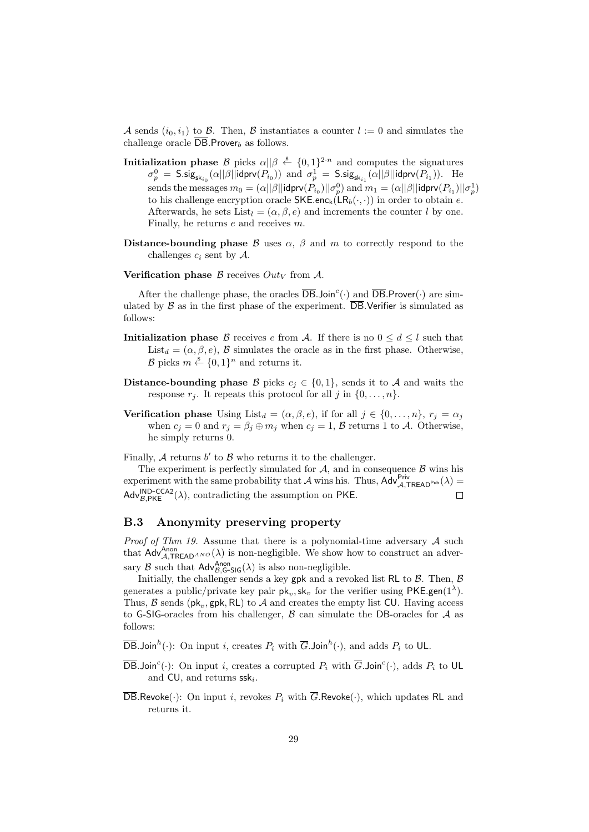A sends  $(i_0, i_1)$  to B. Then, B instantiates a counter  $l := 0$  and simulates the challenge oracle  $\overline{DB}$ . Prover<sub>b</sub> as follows.

- **Initialization phase** B picks  $\alpha || \beta \stackrel{s}{\leftarrow} \{0,1\}^{2n}$  and computes the signatures  $\sigma_p^0 = \mathsf{S}.\mathsf{sig}_{\mathsf{sk}_{i_0}}(\alpha||\beta||\mathsf{idprv}(P_{i_0}))$  and  $\sigma_p^1 = \mathsf{S}.\mathsf{sig}_{\mathsf{sk}_{i_1}}(\alpha||\beta||\mathsf{idprv}(P_{i_1})).$  He sends the messages  $m_0=(\alpha||\beta||\mathsf{idprv}(P_{i_0})||\sigma_p^0)$  and  $m_1=(\alpha||\beta||\mathsf{idprv}(P_{i_1})||\sigma_p^1)$ to his challenge encryption oracle  $SKE.enc_k(LR_b(\cdot, \cdot))$  in order to obtain e. Afterwards, he sets List<sub>l</sub> =  $(\alpha, \beta, e)$  and increments the counter l by one. Finally, he returns e and receives m.
- Distance-bounding phase  $\beta$  uses  $\alpha$ ,  $\beta$  and m to correctly respond to the challenges  $c_i$  sent by  $\mathcal{A}$ .
- Verification phase  $\beta$  receives  $Out_V$  from A.

After the challenge phase, the oracles  $\overline{DB}$ . Join<sup>c</sup>(.) and  $\overline{DB}$ . Prover(.) are simulated by  $\beta$  as in the first phase of the experiment.  $\overline{DB}$ . Verifier is simulated as follows:

- **Initialization phase** B receives e from A. If there is no  $0 \leq d \leq l$  such that List<sub>d</sub> = ( $\alpha, \beta, e$ ), B simulates the oracle as in the first phase. Otherwise,  $\mathcal{B}$  picks  $m \stackrel{\$}{\leftarrow} \{0,1\}^n$  and returns it.
- **Distance-bounding phase** B picks  $c_i \in \{0, 1\}$ , sends it to A and waits the response  $r_j$ . It repeats this protocol for all j in  $\{0, \ldots, n\}$ .
- **Verification phase** Using List<sub>d</sub> =  $(\alpha, \beta, e)$ , if for all  $j \in \{0, ..., n\}$ ,  $r_j = \alpha_j$ when  $c_j = 0$  and  $r_j = \beta_j \oplus m_j$  when  $c_j = 1$ ,  $\beta$  returns 1 to  $\mathcal{A}$ . Otherwise, he simply returns 0.

Finally,  $A$  returns  $b'$  to  $B$  who returns it to the challenger.

The experiment is perfectly simulated for  $A$ , and in consequence  $B$  wins his experiment with the same probability that  $\mathcal A$  wins his. Thus,  $\mathsf{Adv}_{\mathcal A,\mathsf{TREAD}^{\mathsf{Pub}}_{\mathsf{pub}}}^{\mathsf{Priv}}(\lambda)$  $\mathsf{Adv}_{\mathcal{B},\mathsf{PKE}}^{\mathsf{IND-CCA2}}(\lambda)$ , contradicting the assumption on PKE.  $\Box$ 

#### B.3 Anonymity preserving property

*Proof of Thm 19.* Assume that there is a polynomial-time adversary  $A$  such that  $Adv_{\mathcal{A}, \mathsf{TREAD}^{Ano}}^{Ano}(\lambda)$  is non-negligible. We show how to construct an adversary  $\mathcal B$  such that  $\mathsf{Adv}_{\mathcal B,\mathsf{G-SIG}}^{\mathsf{Anon}}(\lambda)$  is also non-negligible.

Initially, the challenger sends a key gpk and a revoked list RL to  $\beta$ . Then,  $\beta$ generates a public/private key pair  $pk_v, sk_v$  for the verifier using  $PKE$ .gen(1<sup> $\lambda$ </sup>). Thus,  $\mathcal{B}$  sends ( $\mathsf{pk}_v$ ,  $\mathsf{gpk}, \mathsf{RL}$ ) to  $\mathcal{A}$  and creates the empty list CU. Having access to G-SIG-oracles from his challenger,  $\beta$  can simulate the DB-oracles for  $\mathcal A$  as follows:

 $\overline{\mathsf{DB}}$ .Join<sup>h</sup>(·): On input *i*, creates  $P_i$  with  $\overline{G}$ .Join<sup>h</sup>(·), and adds  $P_i$  to UL.

- $\overline{\mathsf{DB}}$ .Join<sup>c</sup>(.): On input *i*, creates a corrupted  $P_i$  with  $\overline{G}$ .Join<sup>c</sup>(.), adds  $P_i$  to UL and  $CU$ , and returns  $ssk_i$ .
- $\overline{\text{DB}}$ .Revoke(·): On input *i*, revokes  $P_i$  with  $\overline{G}$ .Revoke(·), which updates RL and returns it.